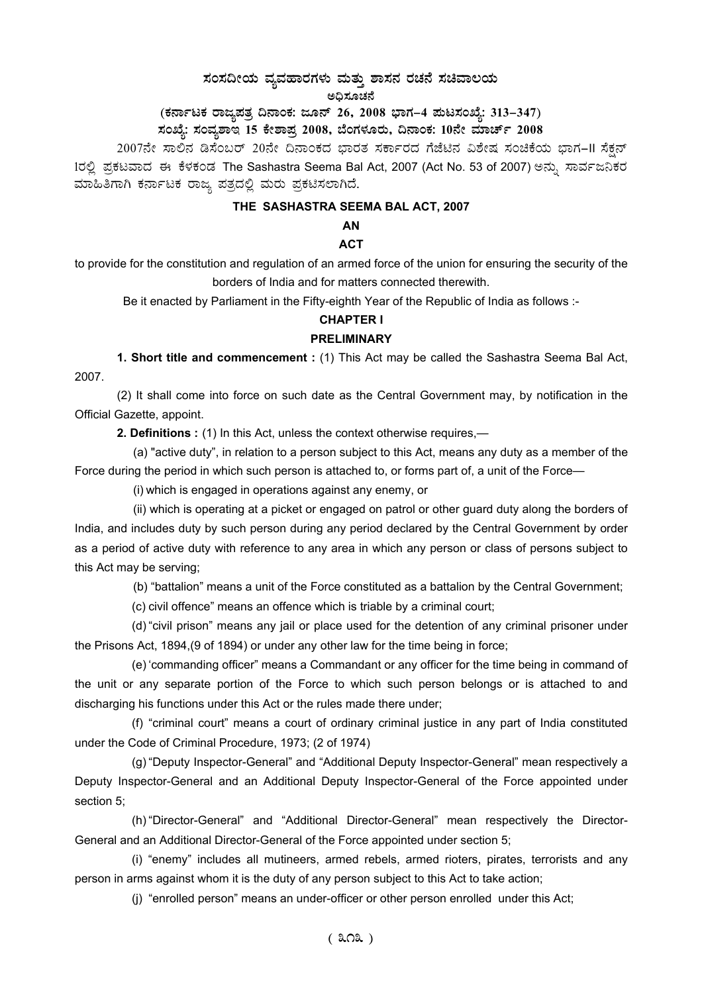# $\,$ ಸಂಸದೀಯ ವ್ಯವಹಾರಗಳು ಮತ್ತು ಶಾಸನ ರಚನೆ ಸಚಿವಾಲಯ

ಅಧಿಸೂಚನೆ

(ಕರ್ನಾಟಕ ರಾಜ್ಯಪತ್ರ ದಿನಾಂಕ: ಜೂನ್ 26, 2008 ಭಾಗ–4 **ಪುಟಸಂಖ್ಯೆ: 313–347)** 

# ಸಂಖ್ಯೆ: ಸಂವ್ಯಶಾಇ 15 ಕೇಶಾಪ್ರ 2008, ಬೆಂಗಳೂರು, ದಿನಾಂಕ: 10ನೇ ಮಾರ್ಚ್ 2008 <sub>-</sub>

2007ನೇ ಸಾಲಿನ ಡಿಸೆಂಬರ್ 20ನೇ ದಿನಾಂಕದ ಭಾರತ ಸರ್ಕಾರದ ಗೆಜೆಟಿನ ವಿಶೇಷ ಸಂಚಿಕೆಯ ಭಾಗ-II ಸೆಕ್ಷನ್ 1ರಲ್ಲಿ ಪ್ರಕಟವಾದ ಈ ಕೆಳಕಂಡ The Sashastra Seema Bal Act, 2007 (Act No. 53 of 2007) ಅನ್ನು ಸಾರ್ವಜನಿಕರ ಮಾಹಿತಿಗಾಗಿ ಕರ್ನಾಟಕ ರಾಜ್ಯ ಪತ್ರದಲ್ಲಿ ಮರು ಪ್ರಕಟಿಸಲಾಗಿದೆ.

### **THE SASHASTRA SEEMA BAL ACT, 2007**

# **AN**

# **ACT**

to provide for the constitution and regulation of an armed force of the union for ensuring the security of the borders of India and for matters connected therewith.

Be it enacted by Parliament in the Fifty-eighth Year of the Republic of India as follows :-

#### **CHAPTER I**

#### **PRELIMINARY**

**1. Short title and commencement :** (1) This Act may be called the Sashastra Seema Bal Act, 2007.

(2) It shall come into force on such date as the Central Government may, by notification in the Official Gazette, appoint.

**2. Definitions :** (1) In this Act, unless the context otherwise requires,—

(a) "active duty", in relation to a person subject to this Act, means any duty as a member of the Force during the period in which such person is attached to, or forms part of, a unit of the Force—

(i) which is engaged in operations against any enemy, or

(ii) which is operating at a picket or engaged on patrol or other guard duty along the borders of India, and includes duty by such person during any period declared by the Central Government by order as a period of active duty with reference to any area in which any person or class of persons subject to this Act may be serving;

(b) "battalion" means a unit of the Force constituted as a battalion by the Central Government;

(c) civil offence" means an offence which is triable by a criminal court;

(d) "civil prison" means any jail or place used for the detention of any criminal prisoner under the Prisons Act, 1894,(9 of 1894) or under any other law for the time being in force;

(e) 'commanding officer" means a Commandant or any officer for the time being in command of the unit or any separate portion of the Force to which such person belongs or is attached to and discharging his functions under this Act or the rules made there under;

 (f) "criminal court" means a court of ordinary criminal justice in any part of India constituted under the Code of Criminal Procedure, 1973; (2 of 1974)

(g) "Deputy Inspector-General" and "Additional Deputy Inspector-General" mean respectively a Deputy Inspector-General and an Additional Deputy Inspector-General of the Force appointed under section 5;

(h) "Director-General" and "Additional Director-General" mean respectively the Director-General and an Additional Director-General of the Force appointed under section 5;

(i) "enemy" includes all mutineers, armed rebels, armed rioters, pirates, terrorists and any person in arms against whom it is the duty of any person subject to this Act to take action;

(j) "enrolled person" means an under-officer or other person enrolled under this Act;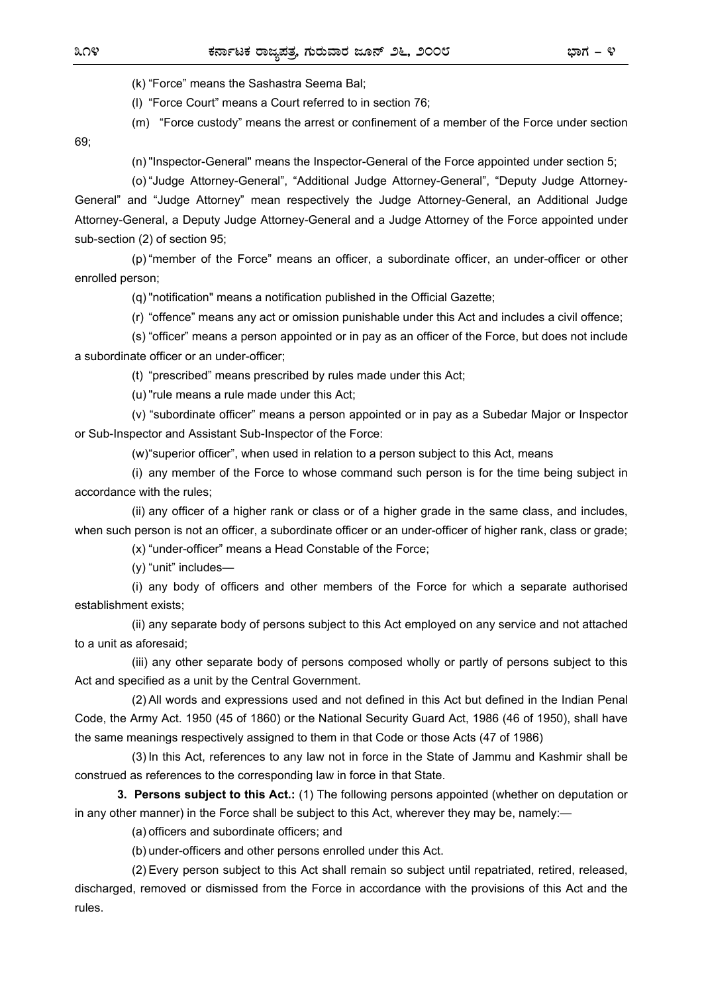(k) "Force" means the Sashastra Seema Bal;

(l) "Force Court" means a Court referred to in section 76;

(m) "Force custody" means the arrest or confinement of a member of the Force under section

69;

(n) "Inspector-General" means the Inspector-General of the Force appointed under section 5;

 (o) "Judge Attorney-General", "Additional Judge Attorney-General", "Deputy Judge Attorney-General" and "Judge Attorney" mean respectively the Judge Attorney-General, an Additional Judge Attorney-General, a Deputy Judge Attorney-General and a Judge Attorney of the Force appointed under sub-section (2) of section 95;

 (p) "member of the Force" means an officer, a subordinate officer, an under-officer or other enrolled person;

(q) "notification" means a notification published in the Official Gazette;

(r) "offence" means any act or omission punishable under this Act and includes a civil offence;

 (s) "officer" means a person appointed or in pay as an officer of the Force, but does not include a subordinate officer or an under-officer;

(t) "prescribed" means prescribed by rules made under this Act;

(u) "rule means a rule made under this Act;

 (v) "subordinate officer" means a person appointed or in pay as a Subedar Major or Inspector or Sub-Inspector and Assistant Sub-Inspector of the Force:

(w) "superior officer", when used in relation to a person subject to this Act, means

 (i) any member of the Force to whose command such person is for the time being subject in accordance with the rules;

 (ii) any officer of a higher rank or class or of a higher grade in the same class, and includes, when such person is not an officer, a subordinate officer or an under-officer of higher rank, class or grade;

(x) "under-officer" means a Head Constable of the Force;

(y) "unit" includes—

 (i) any body of officers and other members of the Force for which a separate authorised establishment exists;

 (ii) any separate body of persons subject to this Act employed on any service and not attached to a unit as aforesaid;

 (iii) any other separate body of persons composed wholly or partly of persons subject to this Act and specified as a unit by the Central Government.

 (2) All words and expressions used and not defined in this Act but defined in the Indian Penal Code, the Army Act. 1950 (45 of 1860) or the National Security Guard Act, 1986 (46 of 1950), shall have the same meanings respectively assigned to them in that Code or those Acts (47 of 1986)

 (3) In this Act, references to any law not in force in the State of Jammu and Kashmir shall be construed as references to the corresponding law in force in that State.

 **3. Persons subject to this Act.:** (1) The following persons appointed (whether on deputation or in any other manner) in the Force shall be subject to this Act, wherever they may be, namely:—

(a) officers and subordinate officers; and

(b) under-officers and other persons enrolled under this Act.

 (2) Every person subject to this Act shall remain so subject until repatriated, retired, released, discharged, removed or dismissed from the Force in accordance with the provisions of this Act and the rules.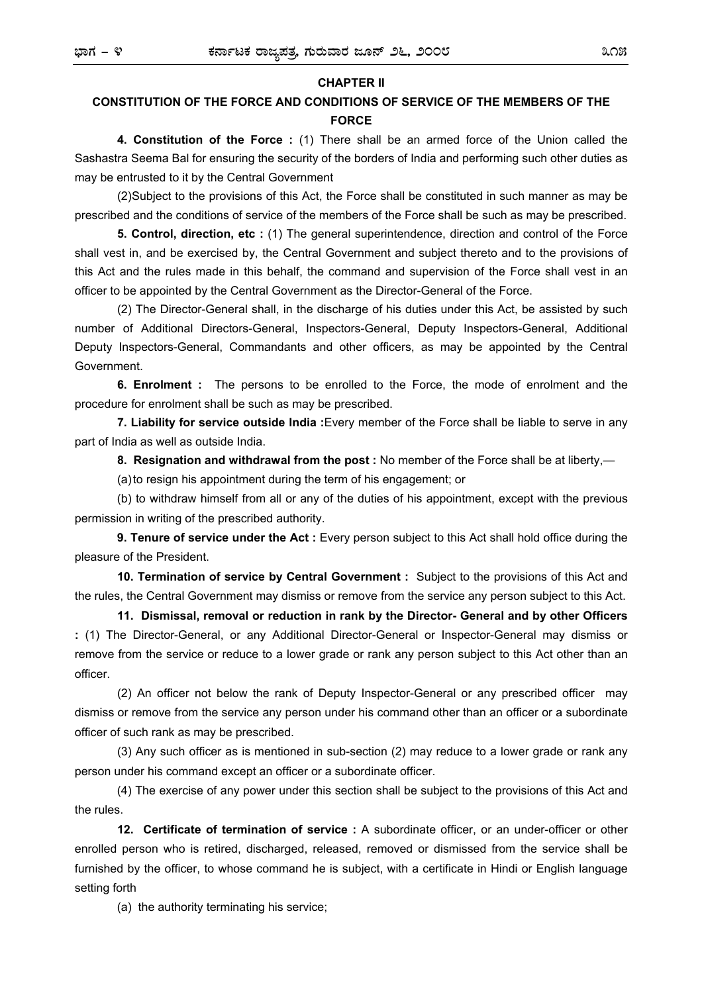#### **CHAPTER II**

# **CONSTITUTION OF THE FORCE AND CONDITIONS OF SERVICE OF THE MEMBERS OF THE FORCE**

 **4. Constitution of the Force :** (1) There shall be an armed force of the Union called the Sashastra Seema Bal for ensuring the security of the borders of India and performing such other duties as may be entrusted to it by the Central Government

 (2) Subject to the provisions of this Act, the Force shall be constituted in such manner as may be prescribed and the conditions of service of the members of the Force shall be such as may be prescribed.

 **5. Control, direction, etc :** (1) The general superintendence, direction and control of the Force shall vest in, and be exercised by, the Central Government and subject thereto and to the provisions of this Act and the rules made in this behalf, the command and supervision of the Force shall vest in an officer to be appointed by the Central Government as the Director-General of the Force.

 (2) The Director-General shall, in the discharge of his duties under this Act, be assisted by such number of Additional Directors-General, Inspectors-General, Deputy Inspectors-General, Additional Deputy Inspectors-General, Commandants and other officers, as may be appointed by the Central Government.

 **6. Enrolment :** The persons to be enrolled to the Force, the mode of enrolment and the procedure for enrolment shall be such as may be prescribed.

 **7. Liability for service outside India :**Every member of the Force shall be liable to serve in any part of India as well as outside India.

 **8. Resignation and withdrawal from the post :** No member of the Force shall be at liberty,—

(a) to resign his appointment during the term of his engagement; or

 (b) to withdraw himself from all or any of the duties of his appointment, except with the previous permission in writing of the prescribed authority.

 **9. Tenure of service under the Act :** Every person subject to this Act shall hold office during the pleasure of the President.

 **10. Termination of service by Central Government :** Subject to the provisions of this Act and the rules, the Central Government may dismiss or remove from the service any person subject to this Act.

 **11. Dismissal, removal or reduction in rank by the Director- General and by other Officers :** (1) The Director-General, or any Additional Director-General or Inspector-General may dismiss or remove from the service or reduce to a lower grade or rank any person subject to this Act other than an officer.

 (2) An officer not below the rank of Deputy Inspector-General or any prescribed officer may dismiss or remove from the service any person under his command other than an officer or a subordinate officer of such rank as may be prescribed.

 (3) Any such officer as is mentioned in sub-section (2) may reduce to a lower grade or rank any person under his command except an officer or a subordinate officer.

 (4) The exercise of any power under this section shall be subject to the provisions of this Act and the rules.

 **12. Certificate of termination of service :** A subordinate officer, or an under-officer or other enrolled person who is retired, discharged, released, removed or dismissed from the service shall be furnished by the officer, to whose command he is subject, with a certificate in Hindi or English language setting forth

(a) the authority terminating his service;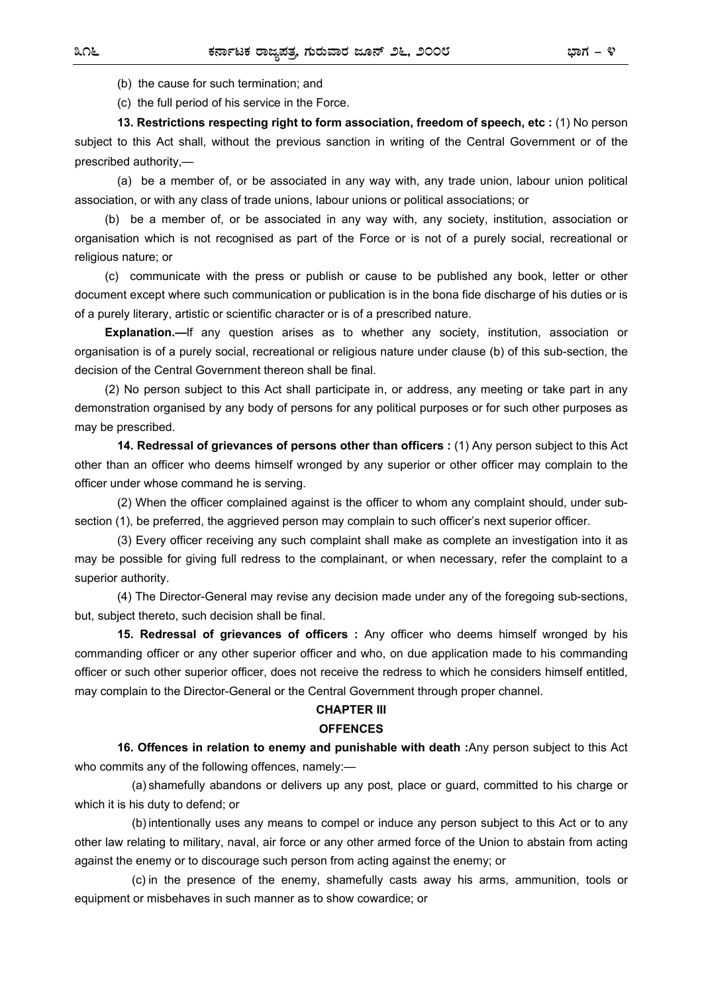(b) the cause for such termination; and

(c) the full period of his service in the Force.

 **13. Restrictions respecting right to form association, freedom of speech, etc :** (1) No person subject to this Act shall, without the previous sanction in writing of the Central Government or of the prescribed authority,—

 (a) be a member of, or be associated in any way with, any trade union, labour union political association, or with any class of trade unions, labour unions or political associations; or

 (b) be a member of, or be associated in any way with, any society, institution, association or organisation which is not recognised as part of the Force or is not of a purely social, recreational or religious nature; or

 (c) communicate with the press or publish or cause to be published any book, letter or other document except where such communication or publication is in the bona fide discharge of his duties or is of a purely literary, artistic or scientific character or is of a prescribed nature.

**Explanation.—**If any question arises as to whether any society, institution, association or organisation is of a purely social, recreational or religious nature under clause (b) of this sub-section, the decision of the Central Government thereon shall be final.

 (2) No person subject to this Act shall participate in, or address, any meeting or take part in any demonstration organised by any body of persons for any political purposes or for such other purposes as may be prescribed.

 **14. Redressal of grievances of persons other than officers :** (1) Any person subject to this Act other than an officer who deems himself wronged by any superior or other officer may complain to the officer under whose command he is serving.

 (2) When the officer complained against is the officer to whom any complaint should, under subsection (1), be preferred, the aggrieved person may complain to such officer's next superior officer.

 (3) Every officer receiving any such complaint shall make as complete an investigation into it as may be possible for giving full redress to the complainant, or when necessary, refer the complaint to a superior authority.

 (4) The Director-General may revise any decision made under any of the foregoing sub-sections, but, subject thereto, such decision shall be final.

 **15. Redressal of grievances of officers :** Any officer who deems himself wronged by his commanding officer or any other superior officer and who, on due application made to his commanding officer or such other superior officer, does not receive the redress to which he considers himself entitled, may complain to the Director-General or the Central Government through proper channel.

#### **CHAPTER III**

#### **OFFENCES**

 **16. Offences in relation to enemy and punishable with death :**Any person subject to this Act who commits any of the following offences, namely:—

 (a) shamefully abandons or delivers up any post, place or guard, committed to his charge or which it is his duty to defend; or

 (b) intentionally uses any means to compel or induce any person subject to this Act or to any other law relating to military, naval, air force or any other armed force of the Union to abstain from acting against the enemy or to discourage such person from acting against the enemy; or

 (c) in the presence of the enemy, shamefully casts away his arms, ammunition, tools or equipment or misbehaves in such manner as to show cowardice; or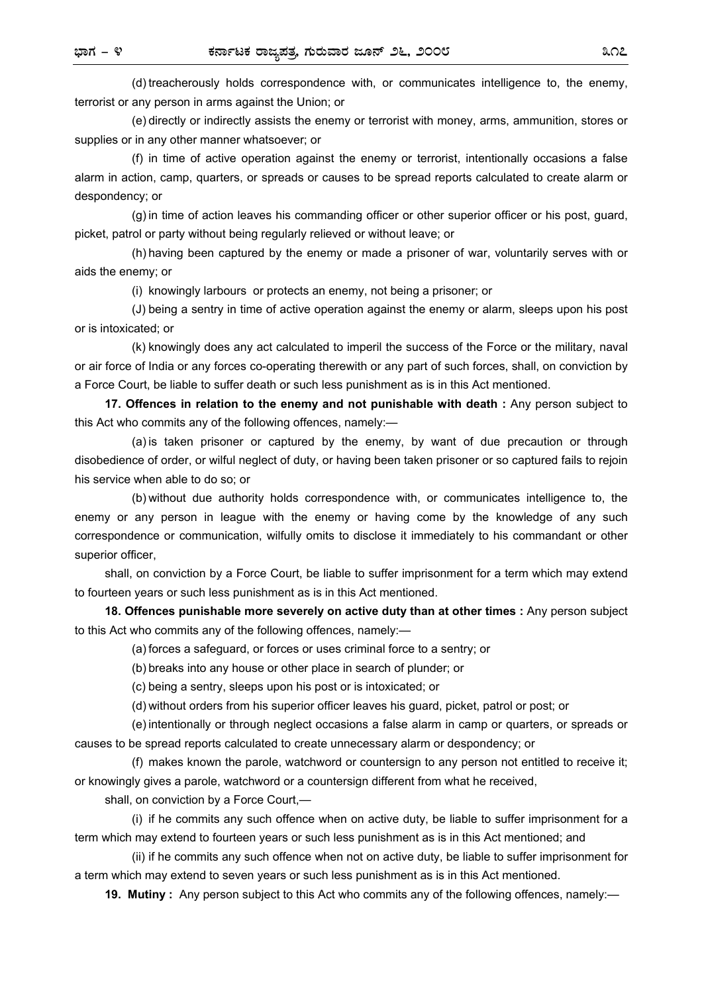(d) treacherously holds correspondence with, or communicates intelligence to, the enemy, terrorist or any person in arms against the Union; or

 (e) directly or indirectly assists the enemy or terrorist with money, arms, ammunition, stores or supplies or in any other manner whatsoever; or

 (f) in time of active operation against the enemy or terrorist, intentionally occasions a false alarm in action, camp, quarters, or spreads or causes to be spread reports calculated to create alarm or despondency; or

 (g) in time of action leaves his commanding officer or other superior officer or his post, guard, picket, patrol or party without being regularly relieved or without leave; or

 (h) having been captured by the enemy or made a prisoner of war, voluntarily serves with or aids the enemy; or

(i) knowingly larbours or protects an enemy, not being a prisoner; or

 (J) being a sentry in time of active operation against the enemy or alarm, sleeps upon his post or is intoxicated; or

 (k) knowingly does any act calculated to imperil the success of the Force or the military, naval or air force of India or any forces co-operating therewith or any part of such forces, shall, on conviction by a Force Court, be liable to suffer death or such less punishment as is in this Act mentioned.

 **17. Offences in relation to the enemy and not punishable with death :** Any person subject to this Act who commits any of the following offences, namely:—

 (a) is taken prisoner or captured by the enemy, by want of due precaution or through disobedience of order, or wilful neglect of duty, or having been taken prisoner or so captured fails to rejoin his service when able to do so; or

 (b) without due authority holds correspondence with, or communicates intelligence to, the enemy or any person in league with the enemy or having come by the knowledge of any such correspondence or communication, wilfully omits to disclose it immediately to his commandant or other superior officer,

 shall, on conviction by a Force Court, be liable to suffer imprisonment for a term which may extend to fourteen years or such less punishment as is in this Act mentioned.

 **18. Offences punishable more severely on active duty than at other times :** Any person subject to this Act who commits any of the following offences, namely:—

(a) forces a safeguard, or forces or uses criminal force to a sentry; or

(b) breaks into any house or other place in search of plunder; or

(c) being a sentry, sleeps upon his post or is intoxicated; or

(d) without orders from his superior officer leaves his guard, picket, patrol or post; or

 (e) intentionally or through neglect occasions a false alarm in camp or quarters, or spreads or causes to be spread reports calculated to create unnecessary alarm or despondency; or

 (f) makes known the parole, watchword or countersign to any person not entitled to receive it; or knowingly gives a parole, watchword or a countersign different from what he received,

shall, on conviction by a Force Court,—

 (i) if he commits any such offence when on active duty, be liable to suffer imprisonment for a term which may extend to fourteen years or such less punishment as is in this Act mentioned; and

 (ii) if he commits any such offence when not on active duty, be liable to suffer imprisonment for a term which may extend to seven years or such less punishment as is in this Act mentioned.

 **19. Mutiny :** Any person subject to this Act who commits any of the following offences, namely:—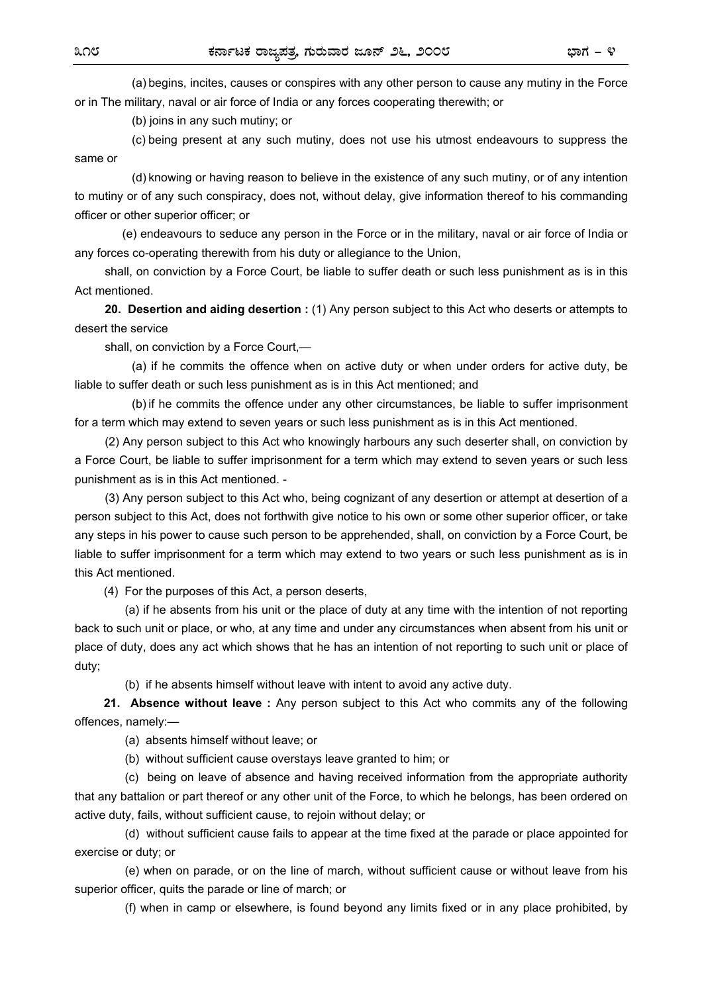(a) begins, incites, causes or conspires with any other person to cause any mutiny in the Force or in The military, naval or air force of India or any forces cooperating therewith; or

(b) joins in any such mutiny; or

 (c) being present at any such mutiny, does not use his utmost endeavours to suppress the same or

 (d) knowing or having reason to believe in the existence of any such mutiny, or of any intention to mutiny or of any such conspiracy, does not, without delay, give information thereof to his commanding officer or other superior officer; or

 (e) endeavours to seduce any person in the Force or in the military, naval or air force of India or any forces co-operating therewith from his duty or allegiance to the Union,

shall, on conviction by a Force Court, be liable to suffer death or such less punishment as is in this Act mentioned.

 **20. Desertion and aiding desertion :** (1) Any person subject to this Act who deserts or attempts to desert the service

shall, on conviction by a Force Court,—

 (a) if he commits the offence when on active duty or when under orders for active duty, be liable to suffer death or such less punishment as is in this Act mentioned; and

 (b) if he commits the offence under any other circumstances, be liable to suffer imprisonment for a term which may extend to seven years or such less punishment as is in this Act mentioned.

 (2) Any person subject to this Act who knowingly harbours any such deserter shall, on conviction by a Force Court, be liable to suffer imprisonment for a term which may extend to seven years or such less punishment as is in this Act mentioned. -

 (3) Any person subject to this Act who, being cognizant of any desertion or attempt at desertion of a person subject to this Act, does not forthwith give notice to his own or some other superior officer, or take any steps in his power to cause such person to be apprehended, shall, on conviction by a Force Court, be liable to suffer imprisonment for a term which may extend to two years or such less punishment as is in this Act mentioned.

(4) For the purposes of this Act, a person deserts,

 (a) if he absents from his unit or the place of duty at any time with the intention of not reporting back to such unit or place, or who, at any time and under any circumstances when absent from his unit or place of duty, does any act which shows that he has an intention of not reporting to such unit or place of duty;

(b) if he absents himself without leave with intent to avoid any active duty.

**21. Absence without leave :** Any person subject to this Act who commits any of the following offences, namely:—

(a) absents himself without leave; or

(b) without sufficient cause overstays leave granted to him; or

 (c) being on leave of absence and having received information from the appropriate authority that any battalion or part thereof or any other unit of the Force, to which he belongs, has been ordered on active duty, fails, without sufficient cause, to rejoin without delay; or

 (d) without sufficient cause fails to appear at the time fixed at the parade or place appointed for exercise or duty; or

 (e) when on parade, or on the line of march, without sufficient cause or without leave from his superior officer, quits the parade or line of march; or

(f) when in camp or elsewhere, is found beyond any limits fixed or in any place prohibited, by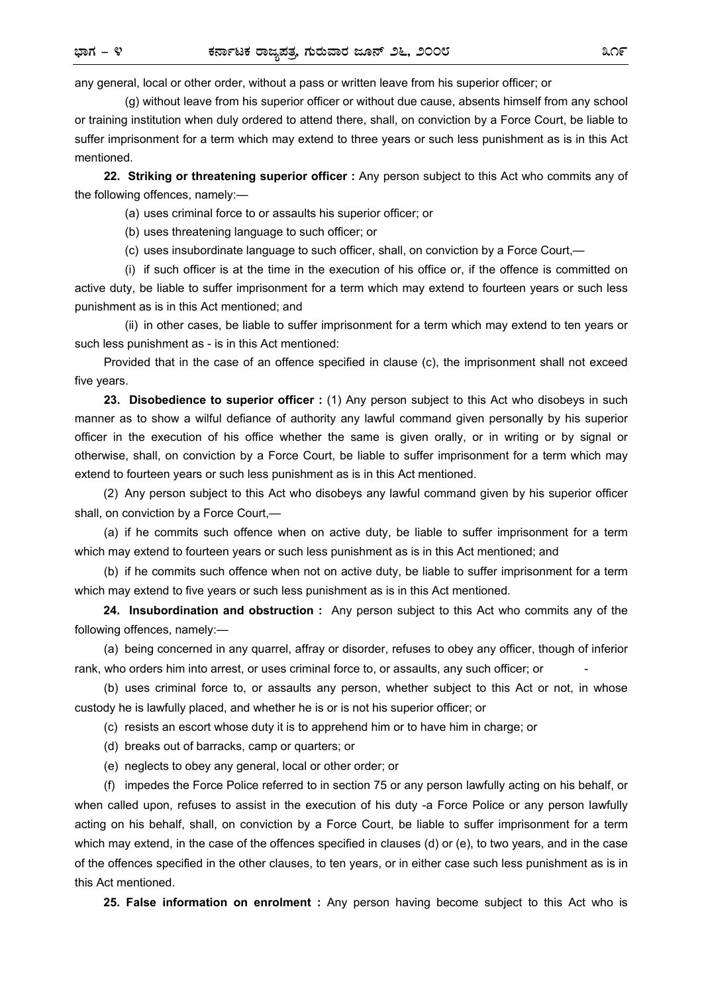any general, local or other order, without a pass or written leave from his superior officer; or

 (g) without leave from his superior officer or without due cause, absents himself from any school or training institution when duly ordered to attend there, shall, on conviction by a Force Court, be liable to suffer imprisonment for a term which may extend to three years or such less punishment as is in this Act mentioned.

**22. Striking or threatening superior officer :** Any person subject to this Act who commits any of the following offences, namely:—

(a) uses criminal force to or assaults his superior officer; or

(b) uses threatening language to such officer; or

(c) uses insubordinate language to such officer, shall, on conviction by a Force Court,—

 (i) if such officer is at the time in the execution of his office or, if the offence is committed on active duty, be liable to suffer imprisonment for a term which may extend to fourteen years or such less punishment as is in this Act mentioned; and

 (ii) in other cases, be liable to suffer imprisonment for a term which may extend to ten years or such less punishment as - is in this Act mentioned:

Provided that in the case of an offence specified in clause (c), the imprisonment shall not exceed five years.

**23. Disobedience to superior officer :** (1) Any person subject to this Act who disobeys in such manner as to show a wilful defiance of authority any lawful command given personally by his superior officer in the execution of his office whether the same is given orally, or in writing or by signal or otherwise, shall, on conviction by a Force Court, be liable to suffer imprisonment for a term which may extend to fourteen years or such less punishment as is in this Act mentioned.

(2) Any person subject to this Act who disobeys any lawful command given by his superior officer shall, on conviction by a Force Court,—

(a) if he commits such offence when on active duty, be liable to suffer imprisonment for a term which may extend to fourteen years or such less punishment as is in this Act mentioned; and

(b) if he commits such offence when not on active duty, be liable to suffer imprisonment for a term which may extend to five years or such less punishment as is in this Act mentioned.

**24. Insubordination and obstruction :** Any person subject to this Act who commits any of the following offences, namely:—

(a) being concerned in any quarrel, affray or disorder, refuses to obey any officer, though of inferior rank, who orders him into arrest, or uses criminal force to, or assaults, any such officer; or -

(b) uses criminal force to, or assaults any person, whether subject to this Act or not, in whose custody he is lawfully placed, and whether he is or is not his superior officer; or

(c) resists an escort whose duty it is to apprehend him or to have him in charge; or

(d) breaks out of barracks, camp or quarters; or

(e) neglects to obey any general, local or other order; or

(f) impedes the Force Police referred to in section 75 or any person lawfully acting on his behalf, or when called upon, refuses to assist in the execution of his duty -a Force Police or any person lawfully acting on his behalf, shall, on conviction by a Force Court, be liable to suffer imprisonment for a term which may extend, in the case of the offences specified in clauses (d) or (e), to two years, and in the case of the offences specified in the other clauses, to ten years, or in either case such less punishment as is in this Act mentioned.

**25. False information on enrolment :** Any person having become subject to this Act who is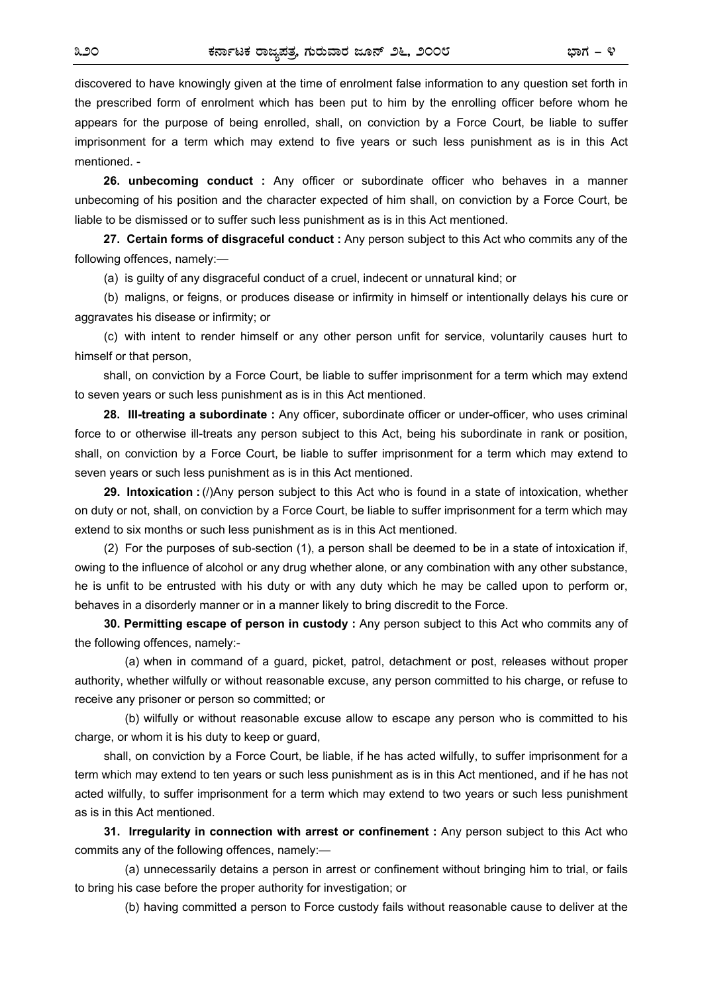discovered to have knowingly given at the time of enrolment false information to any question set forth in the prescribed form of enrolment which has been put to him by the enrolling officer before whom he appears for the purpose of being enrolled, shall, on conviction by a Force Court, be liable to suffer imprisonment for a term which may extend to five years or such less punishment as is in this Act mentioned. -

**26. unbecoming conduct :** Any officer or subordinate officer who behaves in a manner unbecoming of his position and the character expected of him shall, on conviction by a Force Court, be liable to be dismissed or to suffer such less punishment as is in this Act mentioned.

**27. Certain forms of disgraceful conduct :** Any person subject to this Act who commits any of the following offences, namely:—

(a) is guilty of any disgraceful conduct of a cruel, indecent or unnatural kind; or

(b) maligns, or feigns, or produces disease or infirmity in himself or intentionally delays his cure or aggravates his disease or infirmity; or

(c) with intent to render himself or any other person unfit for service, voluntarily causes hurt to himself or that person,

shall, on conviction by a Force Court, be liable to suffer imprisonment for a term which may extend to seven years or such less punishment as is in this Act mentioned.

**28. III-treating a subordinate :** Any officer, subordinate officer or under-officer, who uses criminal force to or otherwise ill-treats any person subject to this Act, being his subordinate in rank or position, shall, on conviction by a Force Court, be liable to suffer imprisonment for a term which may extend to seven years or such less punishment as is in this Act mentioned.

**29. Intoxication :** (/)Any person subject to this Act who is found in a state of intoxication, whether on duty or not, shall, on conviction by a Force Court, be liable to suffer imprisonment for a term which may extend to six months or such less punishment as is in this Act mentioned.

(2) For the purposes of sub-section (1), a person shall be deemed to be in a state of intoxication if, owing to the influence of alcohol or any drug whether alone, or any combination with any other substance, he is unfit to be entrusted with his duty or with any duty which he may be called upon to perform or, behaves in a disorderly manner or in a manner likely to bring discredit to the Force.

**30. Permitting escape of person in custody :** Any person subject to this Act who commits any of the following offences, namely:-

 (a) when in command of a guard, picket, patrol, detachment or post, releases without proper authority, whether wilfully or without reasonable excuse, any person committed to his charge, or refuse to receive any prisoner or person so committed; or

 (b) wilfully or without reasonable excuse allow to escape any person who is committed to his charge, or whom it is his duty to keep or guard,

shall, on conviction by a Force Court, be liable, if he has acted wilfully, to suffer imprisonment for a term which may extend to ten years or such less punishment as is in this Act mentioned, and if he has not acted wilfully, to suffer imprisonment for a term which may extend to two years or such less punishment as is in this Act mentioned.

**31. Irregularity in connection with arrest or confinement :** Any person subject to this Act who commits any of the following offences, namely:—

(a) unnecessarily detains a person in arrest or confinement without bringing him to trial, or fails to bring his case before the proper authority for investigation; or

(b) having committed a person to Force custody fails without reasonable cause to deliver at the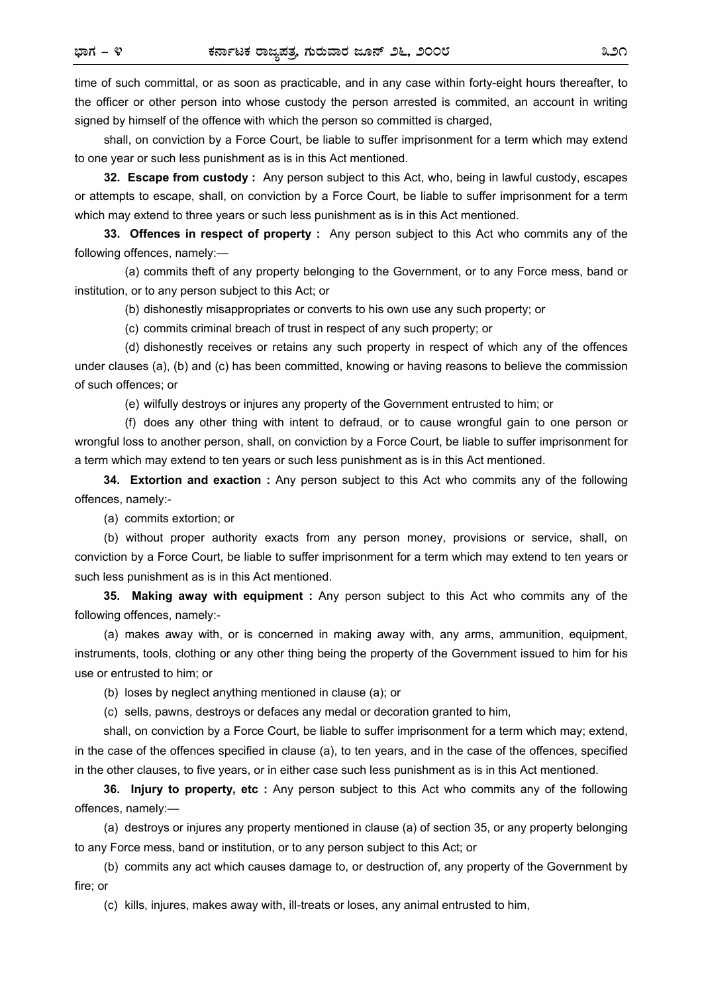time of such committal, or as soon as practicable, and in any case within forty-eight hours thereafter, to the officer or other person into whose custody the person arrested is commited, an account in writing signed by himself of the offence with which the person so committed is charged,

shall, on conviction by a Force Court, be liable to suffer imprisonment for a term which may extend to one year or such less punishment as is in this Act mentioned.

**32. Escape from custody :** Any person subject to this Act, who, being in lawful custody, escapes or attempts to escape, shall, on conviction by a Force Court, be liable to suffer imprisonment for a term which may extend to three years or such less punishment as is in this Act mentioned.

**33. Offences in respect of property :** Any person subject to this Act who commits any of the following offences, namely:—

 (a) commits theft of any property belonging to the Government, or to any Force mess, band or institution, or to any person subject to this Act; or

(b) dishonestly misappropriates or converts to his own use any such property; or

(c) commits criminal breach of trust in respect of any such property; or

 (d) dishonestly receives or retains any such property in respect of which any of the offences under clauses (a), (b) and (c) has been committed, knowing or having reasons to believe the commission of such offences; or

(e) wilfully destroys or injures any property of the Government entrusted to him; or

 (f) does any other thing with intent to defraud, or to cause wrongful gain to one person or wrongful loss to another person, shall, on conviction by a Force Court, be liable to suffer imprisonment for a term which may extend to ten years or such less punishment as is in this Act mentioned.

**34. Extortion and exaction :** Any person subject to this Act who commits any of the following offences, namely:-

(a) commits extortion; or

(b) without proper authority exacts from any person money, provisions or service, shall, on conviction by a Force Court, be liable to suffer imprisonment for a term which may extend to ten years or such less punishment as is in this Act mentioned.

**35. Making away with equipment :** Any person subject to this Act who commits any of the following offences, namely:-

(a) makes away with, or is concerned in making away with, any arms, ammunition, equipment, instruments, tools, clothing or any other thing being the property of the Government issued to him for his use or entrusted to him; or

(b) loses by neglect anything mentioned in clause (a); or

(c) sells, pawns, destroys or defaces any medal or decoration granted to him,

shall, on conviction by a Force Court, be liable to suffer imprisonment for a term which may; extend, in the case of the offences specified in clause (a), to ten years, and in the case of the offences, specified in the other clauses, to five years, or in either case such less punishment as is in this Act mentioned.

**36. Injury to property, etc :** Any person subject to this Act who commits any of the following offences, namely:—

(a) destroys or injures any property mentioned in clause (a) of section 35, or any property belonging to any Force mess, band or institution, or to any person subject to this Act; or

(b) commits any act which causes damage to, or destruction of, any property of the Government by fire; or

(c) kills, injures, makes away with, ill-treats or loses, any animal entrusted to him,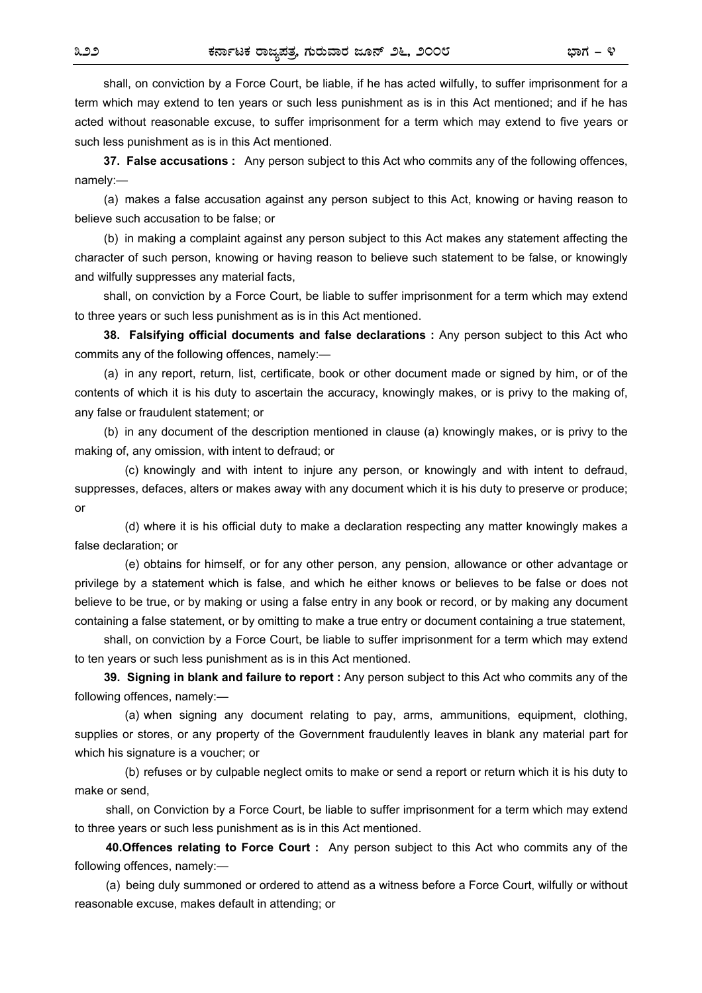shall, on conviction by a Force Court, be liable, if he has acted wilfully, to suffer imprisonment for a term which may extend to ten years or such less punishment as is in this Act mentioned; and if he has acted without reasonable excuse, to suffer imprisonment for a term which may extend to five years or such less punishment as is in this Act mentioned.

**37. False accusations :** Any person subject to this Act who commits any of the following offences, namely:—

(a) makes a false accusation against any person subject to this Act, knowing or having reason to believe such accusation to be false; or

(b) in making a complaint against any person subject to this Act makes any statement affecting the character of such person, knowing or having reason to believe such statement to be false, or knowingly and wilfully suppresses any material facts,

shall, on conviction by a Force Court, be liable to suffer imprisonment for a term which may extend to three years or such less punishment as is in this Act mentioned.

**38. Falsifying official documents and false declarations :** Any person subject to this Act who commits any of the following offences, namely:—

(a) in any report, return, list, certificate, book or other document made or signed by him, or of the contents of which it is his duty to ascertain the accuracy, knowingly makes, or is privy to the making of, any false or fraudulent statement; or

(b) in any document of the description mentioned in clause (a) knowingly makes, or is privy to the making of, any omission, with intent to defraud; or

 (c) knowingly and with intent to injure any person, or knowingly and with intent to defraud, suppresses, defaces, alters or makes away with any document which it is his duty to preserve or produce; or

 (d) where it is his official duty to make a declaration respecting any matter knowingly makes a false declaration; or

 (e) obtains for himself, or for any other person, any pension, allowance or other advantage or privilege by a statement which is false, and which he either knows or believes to be false or does not believe to be true, or by making or using a false entry in any book or record, or by making any document containing a false statement, or by omitting to make a true entry or document containing a true statement,

shall, on conviction by a Force Court, be liable to suffer imprisonment for a term which may extend to ten years or such less punishment as is in this Act mentioned.

**39. Signing in blank and failure to report :** Any person subject to this Act who commits any of the following offences, namely:—

 (a) when signing any document relating to pay, arms, ammunitions, equipment, clothing, supplies or stores, or any property of the Government fraudulently leaves in blank any material part for which his signature is a voucher; or

 (b) refuses or by culpable neglect omits to make or send a report or return which it is his duty to make or send,

shall, on Conviction by a Force Court, be liable to suffer imprisonment for a term which may extend to three years or such less punishment as is in this Act mentioned.

**40.Offences relating to Force Court :** Any person subject to this Act who commits any of the following offences, namely:—

(a) being duly summoned or ordered to attend as a witness before a Force Court, wilfully or without reasonable excuse, makes default in attending; or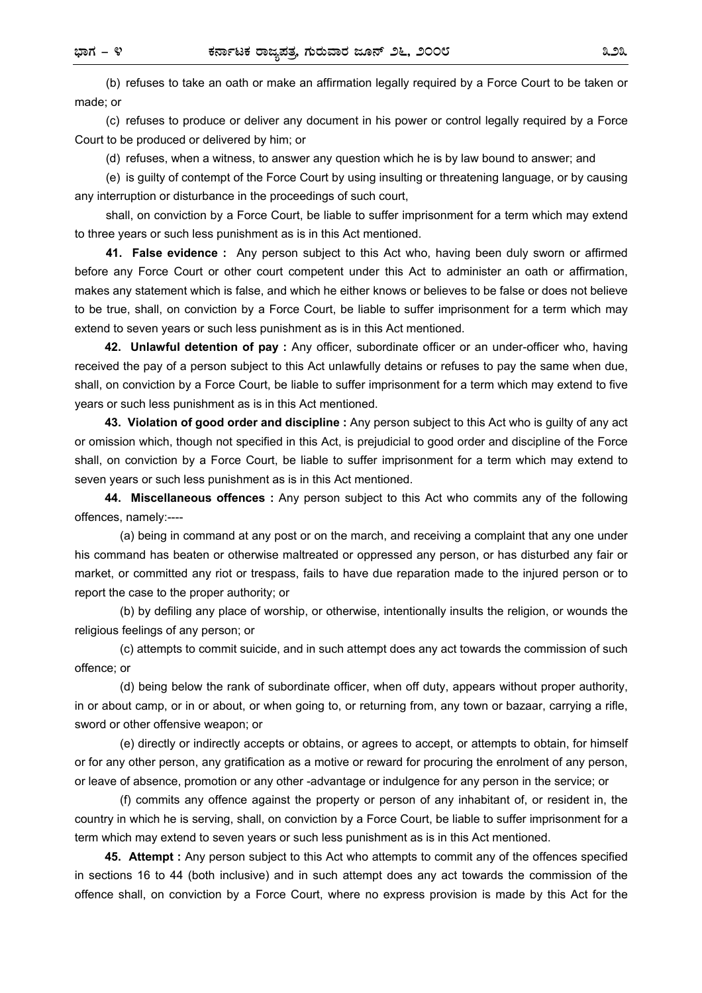(b) refuses to take an oath or make an affirmation legally required by a Force Court to be taken or made; or

(c) refuses to produce or deliver any document in his power or control legally required by a Force Court to be produced or delivered by him; or

(d) refuses, when a witness, to answer any question which he is by law bound to answer; and

(e) is guilty of contempt of the Force Court by using insulting or threatening language, or by causing any interruption or disturbance in the proceedings of such court,

shall, on conviction by a Force Court, be liable to suffer imprisonment for a term which may extend to three years or such less punishment as is in this Act mentioned.

**41. False evidence :** Any person subject to this Act who, having been duly sworn or affirmed before any Force Court or other court competent under this Act to administer an oath or affirmation, makes any statement which is false, and which he either knows or believes to be false or does not believe to be true, shall, on conviction by a Force Court, be liable to suffer imprisonment for a term which may extend to seven years or such less punishment as is in this Act mentioned.

**42. Unlawful detention of pay :** Any officer, subordinate officer or an under-officer who, having received the pay of a person subject to this Act unlawfully detains or refuses to pay the same when due, shall, on conviction by a Force Court, be liable to suffer imprisonment for a term which may extend to five years or such less punishment as is in this Act mentioned.

**43. Violation of good order and discipline :** Any person subject to this Act who is guilty of any act or omission which, though not specified in this Act, is prejudicial to good order and discipline of the Force shall, on conviction by a Force Court, be liable to suffer imprisonment for a term which may extend to seven years or such less punishment as is in this Act mentioned.

**44. Miscellaneous offences :** Any person subject to this Act who commits any of the following offences, namely:----

 (a) being in command at any post or on the march, and receiving a complaint that any one under his command has beaten or otherwise maltreated or oppressed any person, or has disturbed any fair or market, or committed any riot or trespass, fails to have due reparation made to the injured person or to report the case to the proper authority; or

 (b) by defiling any place of worship, or otherwise, intentionally insults the religion, or wounds the religious feelings of any person; or

 (c) attempts to commit suicide, and in such attempt does any act towards the commission of such offence; or

 (d) being below the rank of subordinate officer, when off duty, appears without proper authority, in or about camp, or in or about, or when going to, or returning from, any town or bazaar, carrying a rifle, sword or other offensive weapon; or

 (e) directly or indirectly accepts or obtains, or agrees to accept, or attempts to obtain, for himself or for any other person, any gratification as a motive or reward for procuring the enrolment of any person, or leave of absence, promotion or any other -advantage or indulgence for any person in the service; or

 (f) commits any offence against the property or person of any inhabitant of, or resident in, the country in which he is serving, shall, on conviction by a Force Court, be liable to suffer imprisonment for a term which may extend to seven years or such less punishment as is in this Act mentioned.

**45. Attempt :** Any person subject to this Act who attempts to commit any of the offences specified in sections 16 to 44 (both inclusive) and in such attempt does any act towards the commission of the offence shall, on conviction by a Force Court, where no express provision is made by this Act for the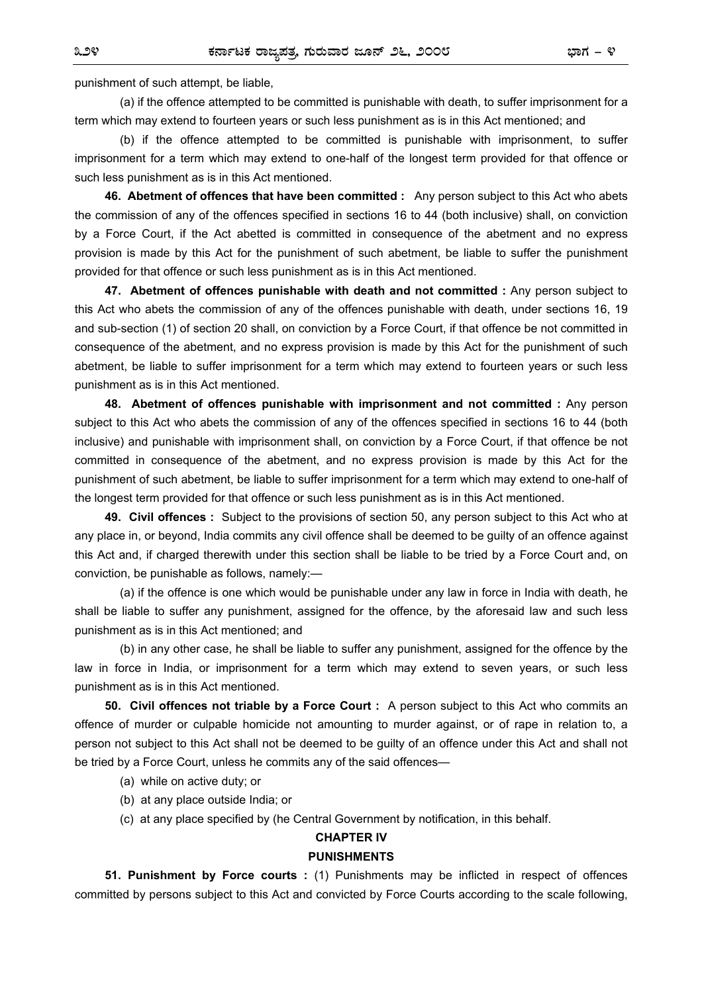punishment of such attempt, be liable,

(a) if the offence attempted to be committed is punishable with death, to suffer imprisonment for a term which may extend to fourteen years or such less punishment as is in this Act mentioned; and

 (b) if the offence attempted to be committed is punishable with imprisonment, to suffer imprisonment for a term which may extend to one-half of the longest term provided for that offence or such less punishment as is in this Act mentioned.

**46. Abetment of offences that have been committed :** Any person subject to this Act who abets the commission of any of the offences specified in sections 16 to 44 (both inclusive) shall, on conviction by a Force Court, if the Act abetted is committed in consequence of the abetment and no express provision is made by this Act for the punishment of such abetment, be liable to suffer the punishment provided for that offence or such less punishment as is in this Act mentioned.

**47. Abetment of offences punishable with death and not committed :** Any person subject to this Act who abets the commission of any of the offences punishable with death, under sections 16, 19 and sub-section (1) of section 20 shall, on conviction by a Force Court, if that offence be not committed in consequence of the abetment, and no express provision is made by this Act for the punishment of such abetment, be liable to suffer imprisonment for a term which may extend to fourteen years or such less punishment as is in this Act mentioned.

**48. Abetment of offences punishable with imprisonment and not committed :** Any person subject to this Act who abets the commission of any of the offences specified in sections 16 to 44 (both inclusive) and punishable with imprisonment shall, on conviction by a Force Court, if that offence be not committed in consequence of the abetment, and no express provision is made by this Act for the punishment of such abetment, be liable to suffer imprisonment for a term which may extend to one-half of the longest term provided for that offence or such less punishment as is in this Act mentioned.

**49. Civil offences :** Subject to the provisions of section 50, any person subject to this Act who at any place in, or beyond, India commits any civil offence shall be deemed to be guilty of an offence against this Act and, if charged therewith under this section shall be liable to be tried by a Force Court and, on conviction, be punishable as follows, namely:—

 (a) if the offence is one which would be punishable under any law in force in India with death, he shall be liable to suffer any punishment, assigned for the offence, by the aforesaid law and such less punishment as is in this Act mentioned; and

 (b) in any other case, he shall be liable to suffer any punishment, assigned for the offence by the law in force in India, or imprisonment for a term which may extend to seven years, or such less punishment as is in this Act mentioned.

**50. Civil offences not triable by a Force Court :** A person subject to this Act who commits an offence of murder or culpable homicide not amounting to murder against, or of rape in relation to, a person not subject to this Act shall not be deemed to be guilty of an offence under this Act and shall not be tried by a Force Court, unless he commits any of the said offences—

- (a) while on active duty; or
- (b) at any place outside India; or
- (c) at any place specified by (he Central Government by notification, in this behalf.

#### **CHAPTER IV**

#### **PUNISHMENTS**

**51. Punishment by Force courts :** (1) Punishments may be inflicted in respect of offences committed by persons subject to this Act and convicted by Force Courts according to the scale following,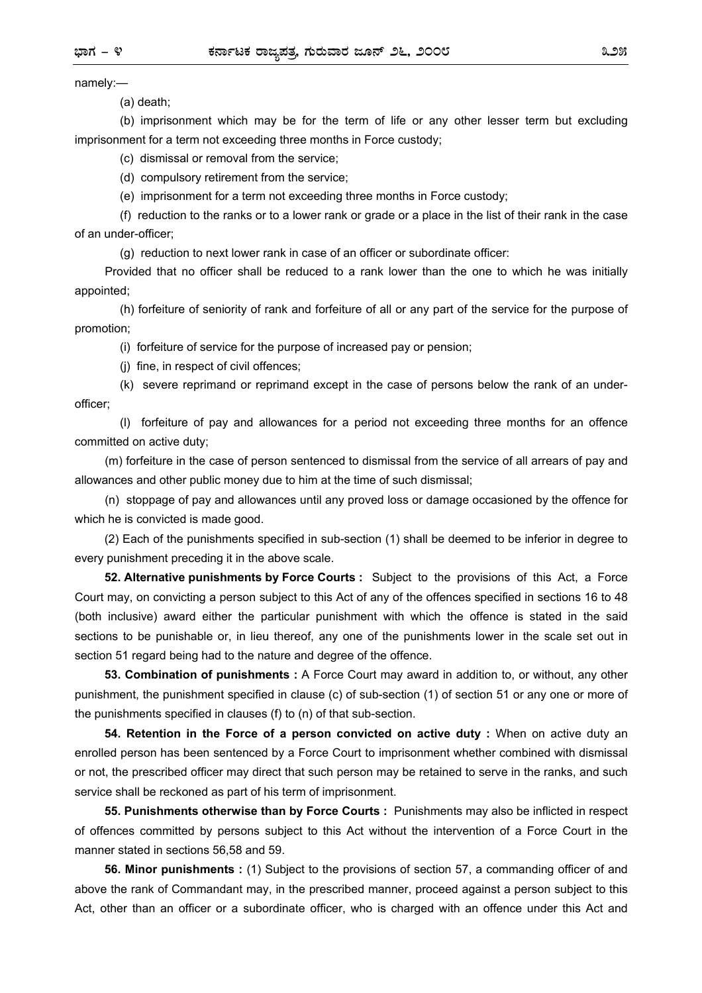namely:—

(a) death;

 (b) imprisonment which may be for the term of life or any other lesser term but excluding imprisonment for a term not exceeding three months in Force custody;

(c) dismissal or removal from the service;

(d) compulsory retirement from the service;

(e) imprisonment for a term not exceeding three months in Force custody;

 (f) reduction to the ranks or to a lower rank or grade or a place in the list of their rank in the case of an under-officer;

(g) reduction to next lower rank in case of an officer or subordinate officer:

Provided that no officer shall be reduced to a rank lower than the one to which he was initially appointed;

 (h) forfeiture of seniority of rank and forfeiture of all or any part of the service for the purpose of promotion;

(i) forfeiture of service for the purpose of increased pay or pension;

(j) fine, in respect of civil offences;

 (k) severe reprimand or reprimand except in the case of persons below the rank of an underofficer;

 (l) forfeiture of pay and allowances for a period not exceeding three months for an offence committed on active duty;

 (m) forfeiture in the case of person sentenced to dismissal from the service of all arrears of pay and allowances and other public money due to him at the time of such dismissal;

 (n) stoppage of pay and allowances until any proved loss or damage occasioned by the offence for which he is convicted is made good.

(2) Each of the punishments specified in sub-section (1) shall be deemed to be inferior in degree to every punishment preceding it in the above scale.

**52. Alternative punishments by Force Courts :** Subject to the provisions of this Act, a Force Court may, on convicting a person subject to this Act of any of the offences specified in sections 16 to 48 (both inclusive) award either the particular punishment with which the offence is stated in the said sections to be punishable or, in lieu thereof, any one of the punishments lower in the scale set out in section 51 regard being had to the nature and degree of the offence.

**53. Combination of punishments :** A Force Court may award in addition to, or without, any other punishment, the punishment specified in clause (c) of sub-section (1) of section 51 or any one or more of the punishments specified in clauses (f) to (n) of that sub-section.

**54. Retention in the Force of a person convicted on active duty :** When on active duty an enrolled person has been sentenced by a Force Court to imprisonment whether combined with dismissal or not, the prescribed officer may direct that such person may be retained to serve in the ranks, and such service shall be reckoned as part of his term of imprisonment.

**55. Punishments otherwise than by Force Courts :** Punishments may also be inflicted in respect of offences committed by persons subject to this Act without the intervention of a Force Court in the manner stated in sections 56,58 and 59.

**56. Minor punishments :** (1) Subject to the provisions of section 57, a commanding officer of and above the rank of Commandant may, in the prescribed manner, proceed against a person subject to this Act, other than an officer or a subordinate officer, who is charged with an offence under this Act and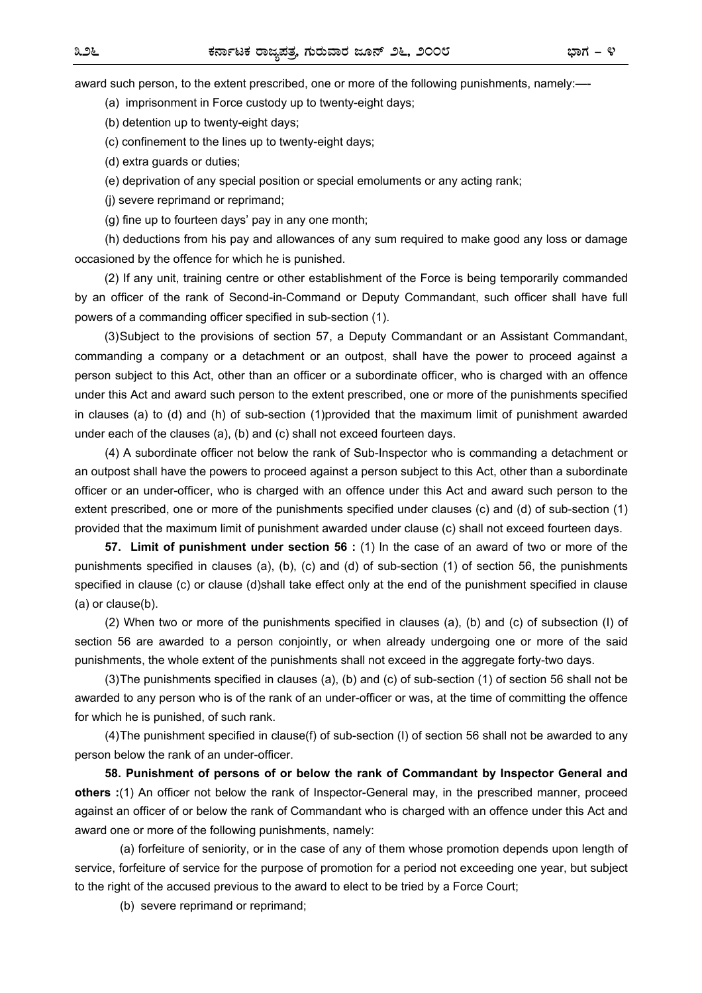award such person, to the extent prescribed, one or more of the following punishments, namely:—-

(a) imprisonment in Force custody up to twenty-eight days;

(b) detention up to twenty-eight days;

(c) confinement to the lines up to twenty-eight days;

(d) extra guards or duties;

(e) deprivation of any special position or special emoluments or any acting rank;

(j) severe reprimand or reprimand;

(g) fine up to fourteen days' pay in any one month;

 (h) deductions from his pay and allowances of any sum required to make good any loss or damage occasioned by the offence for which he is punished.

(2) If any unit, training centre or other establishment of the Force is being temporarily commanded by an officer of the rank of Second-in-Command or Deputy Commandant, such officer shall have full powers of a commanding officer specified in sub-section (1).

(3) Subject to the provisions of section 57, a Deputy Commandant or an Assistant Commandant, commanding a company or a detachment or an outpost, shall have the power to proceed against a person subject to this Act, other than an officer or a subordinate officer, who is charged with an offence under this Act and award such person to the extent prescribed, one or more of the punishments specified in clauses (a) to (d) and (h) of sub-section (1)provided that the maximum limit of punishment awarded under each of the clauses (a), (b) and (c) shall not exceed fourteen days.

(4) A subordinate officer not below the rank of Sub-Inspector who is commanding a detachment or an outpost shall have the powers to proceed against a person subject to this Act, other than a subordinate officer or an under-officer, who is charged with an offence under this Act and award such person to the extent prescribed, one or more of the punishments specified under clauses (c) and (d) of sub-section (1) provided that the maximum limit of punishment awarded under clause (c) shall not exceed fourteen days.

**57. Limit of punishment under section 56 :** (1) ln the case of an award of two or more of the punishments specified in clauses (a), (b), (c) and (d) of sub-section (1) of section 56, the punishments specified in clause (c) or clause (d)shall take effect only at the end of the punishment specified in clause (a) or clause(b).

(2) When two or more of the punishments specified in clauses (a), (b) and (c) of subsection (I) of section 56 are awarded to a person conjointly, or when already undergoing one or more of the said punishments, the whole extent of the punishments shall not exceed in the aggregate forty-two days.

(3) The punishments specified in clauses (a), (b) and (c) of sub-section (1) of section 56 shall not be awarded to any person who is of the rank of an under-officer or was, at the time of committing the offence for which he is punished, of such rank.

(4) The punishment specified in clause(f) of sub-section (I) of section 56 shall not be awarded to any person below the rank of an under-officer.

**58. Punishment of persons of or below the rank of Commandant by Inspector General and others :**(1) An officer not below the rank of Inspector-General may, in the prescribed manner, proceed against an officer of or below the rank of Commandant who is charged with an offence under this Act and award one or more of the following punishments, namely:

(a) forfeiture of seniority, or in the case of any of them whose promotion depends upon length of service, forfeiture of service for the purpose of promotion for a period not exceeding one year, but subject to the right of the accused previous to the award to elect to be tried by a Force Court;

(b) severe reprimand or reprimand;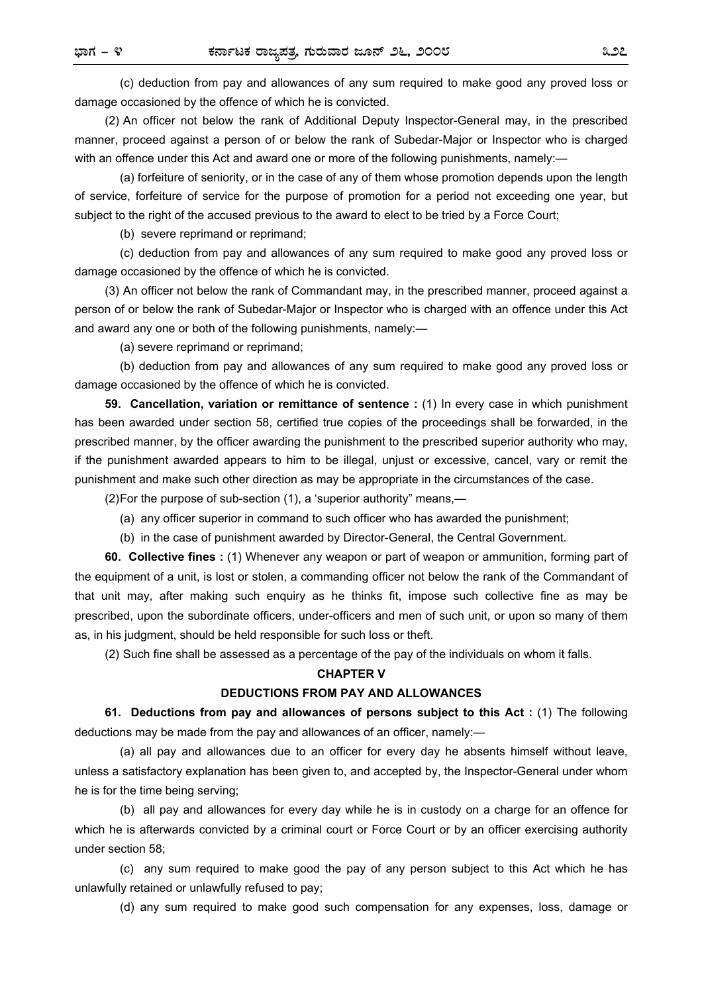(c) deduction from pay and allowances of any sum required to make good any proved loss or damage occasioned by the offence of which he is convicted.

(2) An officer not below the rank of Additional Deputy Inspector-General may, in the prescribed manner, proceed against a person of or below the rank of Subedar-Major or Inspector who is charged with an offence under this Act and award one or more of the following punishments, namely:—

 (a) forfeiture of seniority, or in the case of any of them whose promotion depends upon the length of service, forfeiture of service for the purpose of promotion for a period not exceeding one year, but subject to the right of the accused previous to the award to elect to be tried by a Force Court;

(b) severe reprimand or reprimand;

 (c) deduction from pay and allowances of any sum required to make good any proved loss or damage occasioned by the offence of which he is convicted.

(3) An officer not below the rank of Commandant may, in the prescribed manner, proceed against a person of or below the rank of Subedar-Major or Inspector who is charged with an offence under this Act and award any one or both of the following punishments, namely:—

(a) severe reprimand or reprimand;

 (b) deduction from pay and allowances of any sum required to make good any proved loss or damage occasioned by the offence of which he is convicted.

**59. Cancellation, variation or remittance of sentence :** (1) In every case in which punishment has been awarded under section 58, certified true copies of the proceedings shall be forwarded, in the prescribed manner, by the officer awarding the punishment to the prescribed superior authority who may, if the punishment awarded appears to him to be illegal, unjust or excessive, cancel, vary or remit the punishment and make such other direction as may be appropriate in the circumstances of the case.

(2) For the purpose of sub-section (1), a 'superior authority" means,—

- (a) any officer superior in command to such officer who has awarded the punishment;
- (b) in the case of punishment awarded by Director-General, the Central Government.

**60. Collective fines :** (1) Whenever any weapon or part of weapon or ammunition, forming part of the equipment of a unit, is lost or stolen, a commanding officer not below the rank of the Commandant of that unit may, after making such enquiry as he thinks fit, impose such collective fine as may be prescribed, upon the subordinate officers, under-officers and men of such unit, or upon so many of them as, in his judgment, should be held responsible for such loss or theft.

(2) Such fine shall be assessed as a percentage of the pay of the individuals on whom it falls.

#### **CHAPTER V**

#### **DEDUCTIONS FROM PAY AND ALLOWANCES**

**61. Deductions from pay and allowances of persons subject to this Act :** (1) The following deductions may be made from the pay and allowances of an officer, namely:—

(a) all pay and allowances due to an officer for every day he absents himself without leave, unless a satisfactory explanation has been given to, and accepted by, the Inspector-General under whom he is for the time being serving;

 (b) all pay and allowances for every day while he is in custody on a charge for an offence for which he is afterwards convicted by a criminal court or Force Court or by an officer exercising authority under section 58;

 (c) any sum required to make good the pay of any person subject to this Act which he has unlawfully retained or unlawfully refused to pay;

(d) any sum required to make good such compensation for any expenses, loss, damage or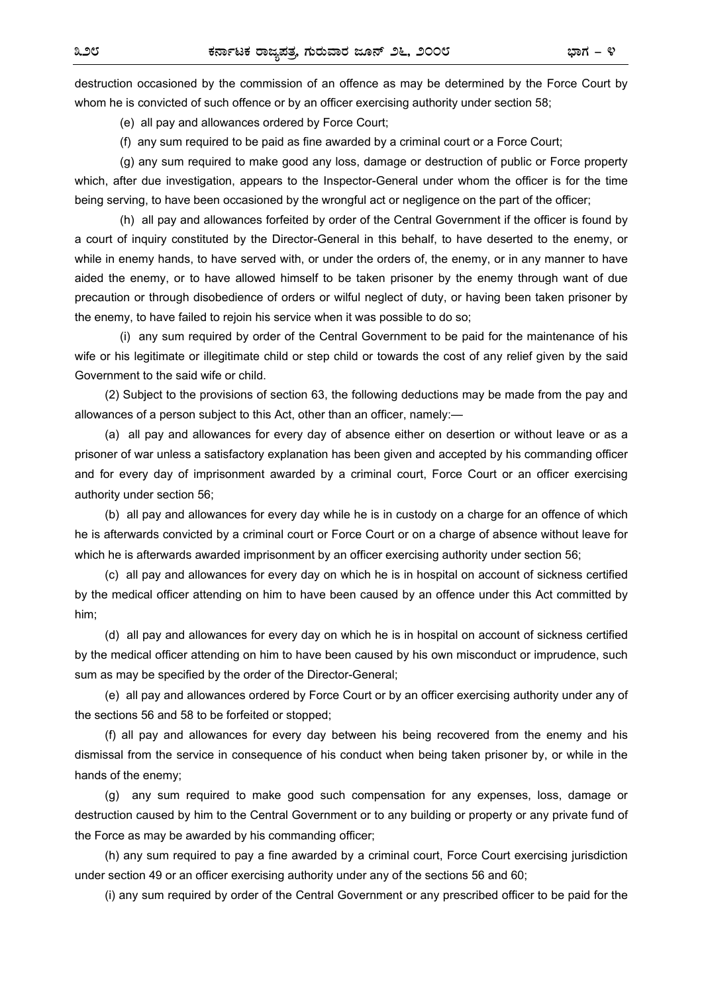destruction occasioned by the commission of an offence as may be determined by the Force Court by whom he is convicted of such offence or by an officer exercising authority under section 58;

(e) all pay and allowances ordered by Force Court;

 $(f)$  any sum required to be paid as fine awarded by a criminal court or a Force Court;

 (g) any sum required to make good any loss, damage or destruction of public or Force property which, after due investigation, appears to the Inspector-General under whom the officer is for the time being serving, to have been occasioned by the wrongful act or negligence on the part of the officer;

 (h) all pay and allowances forfeited by order of the Central Government if the officer is found by a court of inquiry constituted by the Director-General in this behalf, to have deserted to the enemy, or while in enemy hands, to have served with, or under the orders of, the enemy, or in any manner to have aided the enemy, or to have allowed himself to be taken prisoner by the enemy through want of due precaution or through disobedience of orders or wilful neglect of duty, or having been taken prisoner by the enemy, to have failed to rejoin his service when it was possible to do so;

 (i) any sum required by order of the Central Government to be paid for the maintenance of his wife or his legitimate or illegitimate child or step child or towards the cost of any relief given by the said Government to the said wife or child.

(2) Subject to the provisions of section 63, the following deductions may be made from the pay and allowances of a person subject to this Act, other than an officer, namely:—

 (a) all pay and allowances for every day of absence either on desertion or without leave or as a prisoner of war unless a satisfactory explanation has been given and accepted by his commanding officer and for every day of imprisonment awarded by a criminal court, Force Court or an officer exercising authority under section 56;

 (b) all pay and allowances for every day while he is in custody on a charge for an offence of which he is afterwards convicted by a criminal court or Force Court or on a charge of absence without leave for which he is afterwards awarded imprisonment by an officer exercising authority under section 56;

 (c) all pay and allowances for every day on which he is in hospital on account of sickness certified by the medical officer attending on him to have been caused by an offence under this Act committed by him;

 (d) all pay and allowances for every day on which he is in hospital on account of sickness certified by the medical officer attending on him to have been caused by his own misconduct or imprudence, such sum as may be specified by the order of the Director-General;

 (e) all pay and allowances ordered by Force Court or by an officer exercising authority under any of the sections 56 and 58 to be forfeited or stopped;

 (f) all pay and allowances for every day between his being recovered from the enemy and his dismissal from the service in consequence of his conduct when being taken prisoner by, or while in the hands of the enemy;

 (g) any sum required to make good such compensation for any expenses, loss, damage or destruction caused by him to the Central Government or to any building or property or any private fund of the Force as may be awarded by his commanding officer;

 (h) any sum required to pay a fine awarded by a criminal court, Force Court exercising jurisdiction under section 49 or an officer exercising authority under any of the sections 56 and 60;

(i) any sum required by order of the Central Government or any prescribed officer to be paid for the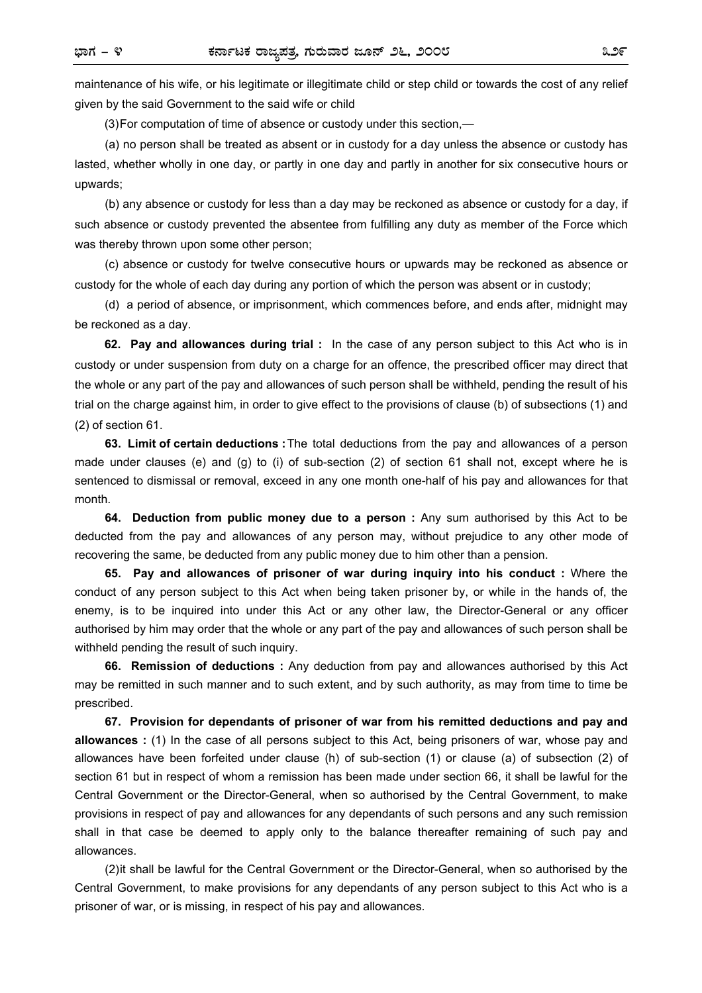maintenance of his wife, or his legitimate or illegitimate child or step child or towards the cost of any relief given by the said Government to the said wife or child

(3) For computation of time of absence or custody under this section,—

 (a) no person shall be treated as absent or in custody for a day unless the absence or custody has lasted, whether wholly in one day, or partly in one day and partly in another for six consecutive hours or upwards;

 (b) any absence or custody for less than a day may be reckoned as absence or custody for a day, if such absence or custody prevented the absentee from fulfilling any duty as member of the Force which was thereby thrown upon some other person;

 (c) absence or custody for twelve consecutive hours or upwards may be reckoned as absence or custody for the whole of each day during any portion of which the person was absent or in custody;

 (d) a period of absence, or imprisonment, which commences before, and ends after, midnight may be reckoned as a day.

**62. Pay and allowances during trial :** In the case of any person subject to this Act who is in custody or under suspension from duty on a charge for an offence, the prescribed officer may direct that the whole or any part of the pay and allowances of such person shall be withheld, pending the result of his trial on the charge against him, in order to give effect to the provisions of clause (b) of subsections (1) and (2) of section 61.

**63. Limit of certain deductions :** The total deductions from the pay and allowances of a person made under clauses (e) and (g) to (i) of sub-section (2) of section 61 shall not, except where he is sentenced to dismissal or removal, exceed in any one month one-half of his pay and allowances for that month.

**64. Deduction from public money due to a person :** Any sum authorised by this Act to be deducted from the pay and allowances of any person may, without prejudice to any other mode of recovering the same, be deducted from any public money due to him other than a pension.

**65. Pay and allowances of prisoner of war during inquiry into his conduct :** Where the conduct of any person subject to this Act when being taken prisoner by, or while in the hands of, the enemy, is to be inquired into under this Act or any other law, the Director-General or any officer authorised by him may order that the whole or any part of the pay and allowances of such person shall be withheld pending the result of such inquiry.

**66. Remission of deductions :** Any deduction from pay and allowances authorised by this Act may be remitted in such manner and to such extent, and by such authority, as may from time to time be prescribed.

**67. Provision for dependants of prisoner of war from his remitted deductions and pay and allowances :** (1) In the case of all persons subject to this Act, being prisoners of war, whose pay and allowances have been forfeited under clause (h) of sub-section (1) or clause (a) of subsection (2) of section 61 but in respect of whom a remission has been made under section 66, it shall be lawful for the Central Government or the Director-General, when so authorised by the Central Government, to make provisions in respect of pay and allowances for any dependants of such persons and any such remission shall in that case be deemed to apply only to the balance thereafter remaining of such pay and allowances.

(2) it shall be lawful for the Central Government or the Director-General, when so authorised by the Central Government, to make provisions for any dependants of any person subject to this Act who is a prisoner of war, or is missing, in respect of his pay and allowances.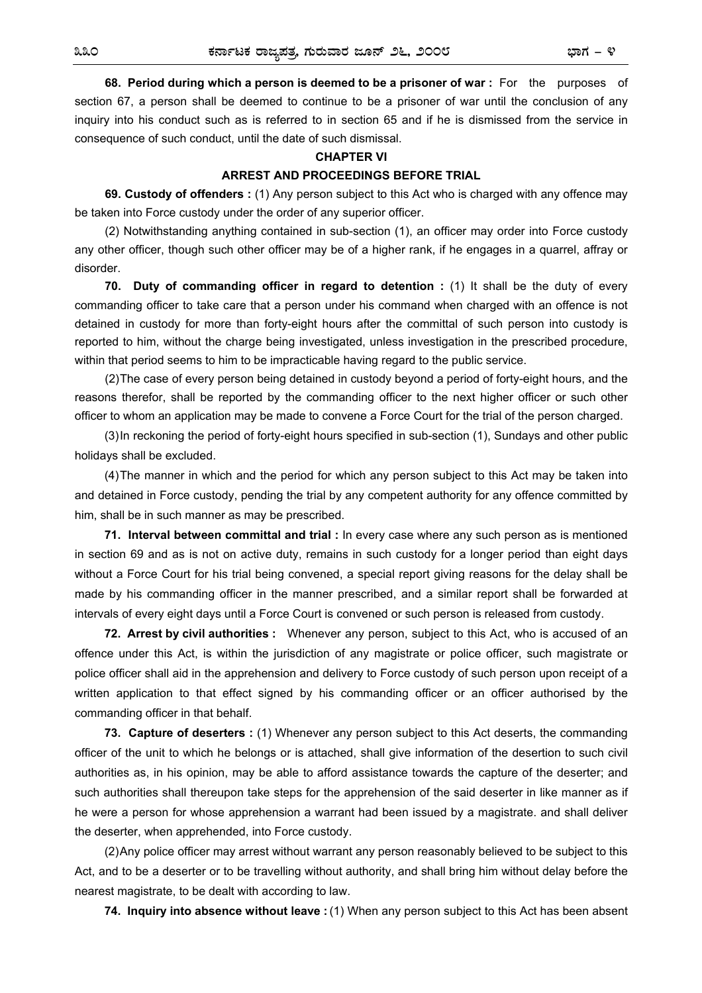**68. Period during which a person is deemed to be a prisoner of war :** For the purposes of section 67, a person shall be deemed to continue to be a prisoner of war until the conclusion of any inquiry into his conduct such as is referred to in section 65 and if he is dismissed from the service in consequence of such conduct, until the date of such dismissal.

#### **CHAPTER VI**

#### **ARREST AND PROCEEDINGS BEFORE TRIAL**

**69. Custody of offenders :** (1) Any person subject to this Act who is charged with any offence may be taken into Force custody under the order of any superior officer.

(2) Notwithstanding anything contained in sub-section (1), an officer may order into Force custody any other officer, though such other officer may be of a higher rank, if he engages in a quarrel, affray or disorder.

**70.** Duty of commanding officer in regard to detention : (1) It shall be the duty of every commanding officer to take care that a person under his command when charged with an offence is not detained in custody for more than forty-eight hours after the committal of such person into custody is reported to him, without the charge being investigated, unless investigation in the prescribed procedure, within that period seems to him to be impracticable having regard to the public service.

(2) The case of every person being detained in custody beyond a period of forty-eight hours, and the reasons therefor, shall be reported by the commanding officer to the next higher officer or such other officer to whom an application may be made to convene a Force Court for the trial of the person charged.

(3) In reckoning the period of forty-eight hours specified in sub-section (1), Sundays and other public holidays shall be excluded.

(4) The manner in which and the period for which any person subject to this Act may be taken into and detained in Force custody, pending the trial by any competent authority for any offence committed by him, shall be in such manner as may be prescribed.

**71. Interval between committal and trial :** In every case where any such person as is mentioned in section 69 and as is not on active duty, remains in such custody for a longer period than eight days without a Force Court for his trial being convened, a special report giving reasons for the delay shall be made by his commanding officer in the manner prescribed, and a similar report shall be forwarded at intervals of every eight days until a Force Court is convened or such person is released from custody.

**72. Arrest by civil authorities :** Whenever any person, subject to this Act, who is accused of an offence under this Act, is within the jurisdiction of any magistrate or police officer, such magistrate or police officer shall aid in the apprehension and delivery to Force custody of such person upon receipt of a written application to that effect signed by his commanding officer or an officer authorised by the commanding officer in that behalf.

**73. Capture of deserters :** (1) Whenever any person subject to this Act deserts, the commanding officer of the unit to which he belongs or is attached, shall give information of the desertion to such civil authorities as, in his opinion, may be able to afford assistance towards the capture of the deserter; and such authorities shall thereupon take steps for the apprehension of the said deserter in like manner as if he were a person for whose apprehension a warrant had been issued by a magistrate. and shall deliver the deserter, when apprehended, into Force custody.

(2) Any police officer may arrest without warrant any person reasonably believed to be subject to this Act, and to be a deserter or to be travelling without authority, and shall bring him without delay before the nearest magistrate, to be dealt with according to law.

**74. Inquiry into absence without leave :** (1) When any person subject to this Act has been absent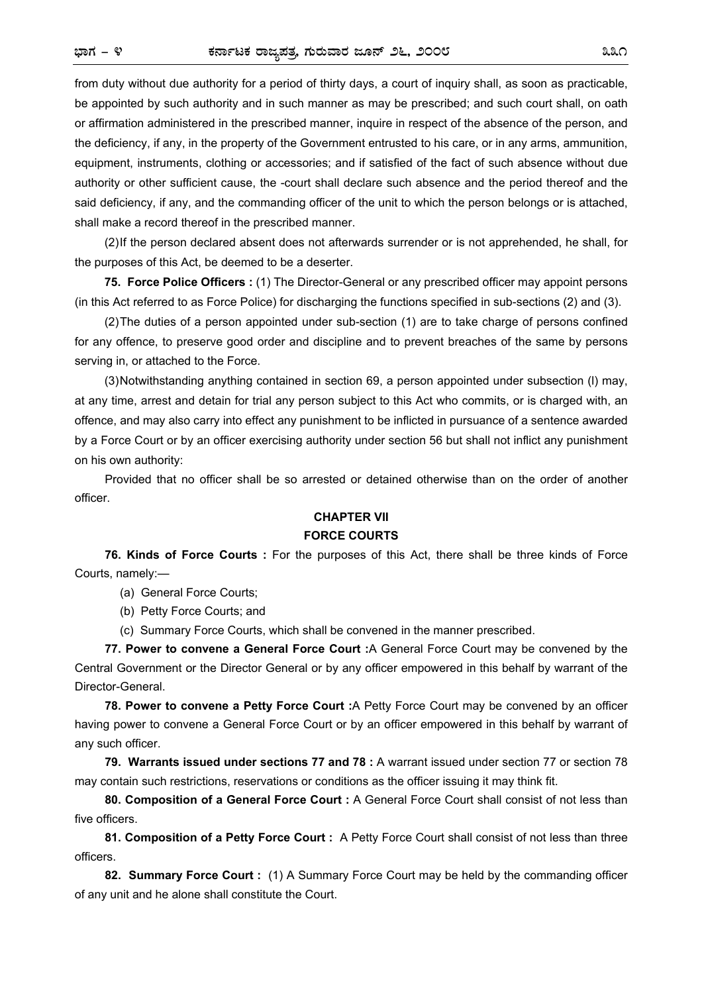from duty without due authority for a period of thirty days, a court of inquiry shall, as soon as practicable, be appointed by such authority and in such manner as may be prescribed; and such court shall, on oath or affirmation administered in the prescribed manner, inquire in respect of the absence of the person, and the deficiency, if any, in the property of the Government entrusted to his care, or in any arms, ammunition, equipment, instruments, clothing or accessories; and if satisfied of the fact of such absence without due authority or other sufficient cause, the -court shall declare such absence and the period thereof and the said deficiency, if any, and the commanding officer of the unit to which the person belongs or is attached, shall make a record thereof in the prescribed manner.

(2) If the person declared absent does not afterwards surrender or is not apprehended, he shall, for the purposes of this Act, be deemed to be a deserter.

**75. Force Police Officers :** (1) The Director-General or any prescribed officer may appoint persons (in this Act referred to as Force Police) for discharging the functions specified in sub-sections (2) and (3).

(2) The duties of a person appointed under sub-section (1) are to take charge of persons confined for any offence, to preserve good order and discipline and to prevent breaches of the same by persons serving in, or attached to the Force.

(3) Notwithstanding anything contained in section 69, a person appointed under subsection (l) may, at any time, arrest and detain for trial any person subject to this Act who commits, or is charged with, an offence, and may also carry into effect any punishment to be inflicted in pursuance of a sentence awarded by a Force Court or by an officer exercising authority under section 56 but shall not inflict any punishment on his own authority:

Provided that no officer shall be so arrested or detained otherwise than on the order of another officer.

#### **CHAPTER VII**

#### **FORCE COURTS**

**76. Kinds of Force Courts :** For the purposes of this Act, there shall be three kinds of Force Courts, namely:—

(a) General Force Courts;

(b) Petty Force Courts; and

(c) Summary Force Courts, which shall be convened in the manner prescribed.

**77. Power to convene a General Force Court :**A General Force Court may be convened by the Central Government or the Director General or by any officer empowered in this behalf by warrant of the Director-General.

**78. Power to convene a Petty Force Court :**A Petty Force Court may be convened by an officer having power to convene a General Force Court or by an officer empowered in this behalf by warrant of any such officer.

**79. Warrants issued under sections 77 and 78 :** A warrant issued under section 77 or section 78 may contain such restrictions, reservations or conditions as the officer issuing it may think fit.

**80. Composition of a General Force Court :** A General Force Court shall consist of not less than five officers.

**81. Composition of a Petty Force Court :** A Petty Force Court shall consist of not less than three officers.

**82. Summary Force Court :** (1) A Summary Force Court may be held by the commanding officer of any unit and he alone shall constitute the Court.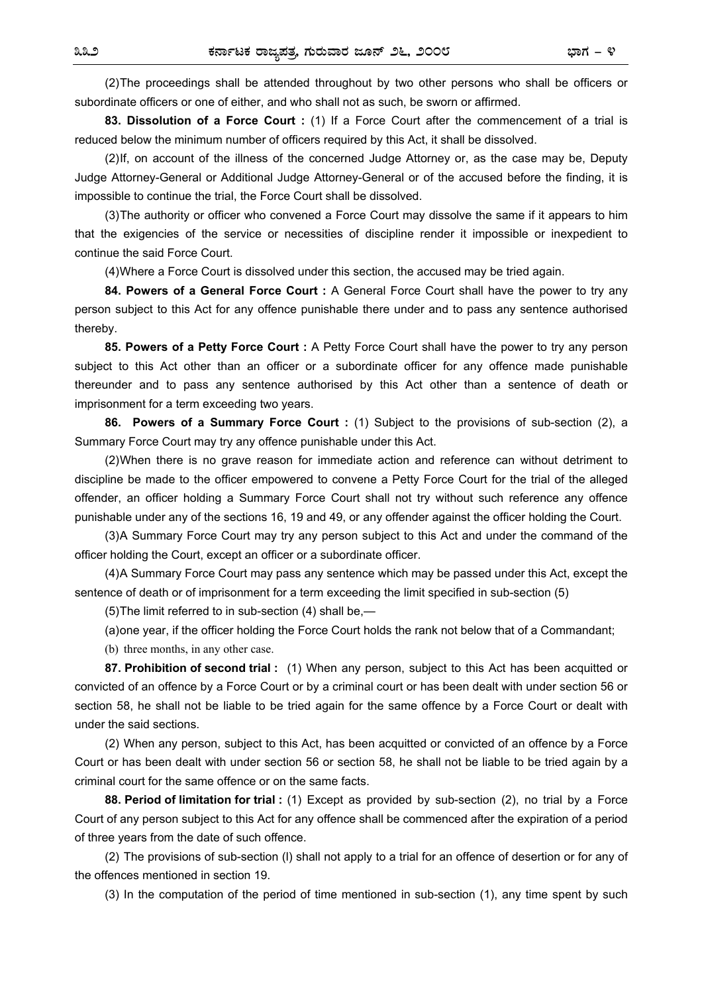(2) The proceedings shall be attended throughout by two other persons who shall be officers or subordinate officers or one of either, and who shall not as such, be sworn or affirmed.

**83. Dissolution of a Force Court :** (1) If a Force Court after the commencement of a trial is reduced below the minimum number of officers required by this Act, it shall be dissolved.

(2) If, on account of the illness of the concerned Judge Attorney or, as the case may be, Deputy Judge Attorney-General or Additional Judge Attorney-General or of the accused before the finding, it is impossible to continue the trial, the Force Court shall be dissolved.

(3) The authority or officer who convened a Force Court may dissolve the same if it appears to him that the exigencies of the service or necessities of discipline render it impossible or inexpedient to continue the said Force Court.

(4) Where a Force Court is dissolved under this section, the accused may be tried again.

84. Powers of a General Force Court : A General Force Court shall have the power to try any person subject to this Act for any offence punishable there under and to pass any sentence authorised thereby.

**85. Powers of a Petty Force Court :** A Petty Force Court shall have the power to try any person subject to this Act other than an officer or a subordinate officer for any offence made punishable thereunder and to pass any sentence authorised by this Act other than a sentence of death or imprisonment for a term exceeding two years.

**86. Powers of a Summary Force Court :** (1) Subject to the provisions of sub-section (2), a Summary Force Court may try any offence punishable under this Act.

(2) When there is no grave reason for immediate action and reference can without detriment to discipline be made to the officer empowered to convene a Petty Force Court for the trial of the alleged offender, an officer holding a Summary Force Court shall not try without such reference any offence punishable under any of the sections 16, 19 and 49, or any offender against the officer holding the Court.

(3) A Summary Force Court may try any person subject to this Act and under the command of the officer holding the Court, except an officer or a subordinate officer.

(4) A Summary Force Court may pass any sentence which may be passed under this Act, except the sentence of death or of imprisonment for a term exceeding the limit specified in sub-section (5)

(5) The limit referred to in sub-section (4) shall be,—

(a) one year, if the officer holding the Force Court holds the rank not below that of a Commandant;

(b) three months, in any other case.

**87. Prohibition of second trial :** (1) When any person, subject to this Act has been acquitted or convicted of an offence by a Force Court or by a criminal court or has been dealt with under section 56 or section 58, he shall not be liable to be tried again for the same offence by a Force Court or dealt with under the said sections.

(2) When any person, subject to this Act, has been acquitted or convicted of an offence by a Force Court or has been dealt with under section 56 or section 58, he shall not be liable to be tried again by a criminal court for the same offence or on the same facts.

**88. Period of limitation for trial :** (1) Except as provided by sub-section (2), no trial by a Force Court of any person subject to this Act for any offence shall be commenced after the expiration of a period of three years from the date of such offence.

(2) The provisions of sub-section (l) shall not apply to a trial for an offence of desertion or for any of the offences mentioned in section 19.

(3) In the computation of the period of time mentioned in sub-section (1), any time spent by such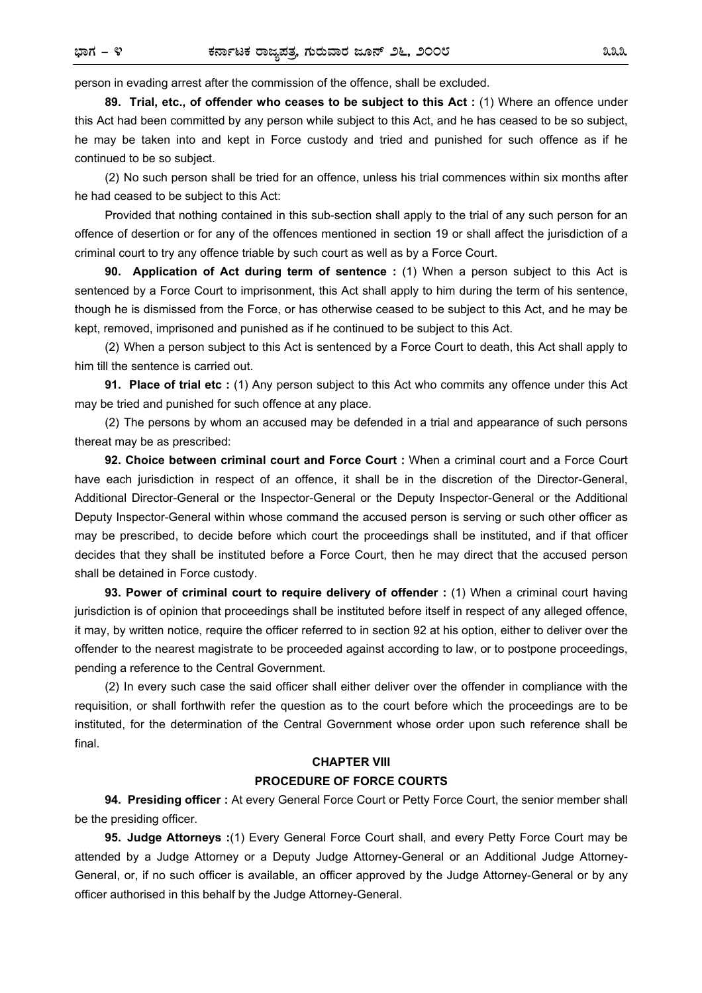person in evading arrest after the commission of the offence, shall be excluded.

**89. Trial, etc., of offender who ceases to be subject to this Act :** (1) Where an offence under this Act had been committed by any person while subject to this Act, and he has ceased to be so subject, he may be taken into and kept in Force custody and tried and punished for such offence as if he continued to be so subject.

(2) No such person shall be tried for an offence, unless his trial commences within six months after he had ceased to be subject to this Act:

Provided that nothing contained in this sub-section shall apply to the trial of any such person for an offence of desertion or for any of the offences mentioned in section 19 or shall affect the jurisdiction of a criminal court to try any offence triable by such court as well as by a Force Court.

**90. Application of Act during term of sentence :** (1) When a person subject to this Act is sentenced by a Force Court to imprisonment, this Act shall apply to him during the term of his sentence, though he is dismissed from the Force, or has otherwise ceased to be subject to this Act, and he may be kept, removed, imprisoned and punished as if he continued to be subject to this Act.

(2) When a person subject to this Act is sentenced by a Force Court to death, this Act shall apply to him till the sentence is carried out.

**91. Place of trial etc :** (1) Any person subject to this Act who commits any offence under this Act may be tried and punished for such offence at any place.

(2) The persons by whom an accused may be defended in a trial and appearance of such persons thereat may be as prescribed:

**92. Choice between criminal court and Force Court :** When a criminal court and a Force Court have each jurisdiction in respect of an offence, it shall be in the discretion of the Director-General, Additional Director-General or the Inspector-General or the Deputy Inspector-General or the Additional Deputy Inspector-General within whose command the accused person is serving or such other officer as may be prescribed, to decide before which court the proceedings shall be instituted, and if that officer decides that they shall be instituted before a Force Court, then he may direct that the accused person shall be detained in Force custody.

**93. Power of criminal court to require delivery of offender :** (1) When a criminal court having jurisdiction is of opinion that proceedings shall be instituted before itself in respect of any alleged offence, it may, by written notice, require the officer referred to in section 92 at his option, either to deliver over the offender to the nearest magistrate to be proceeded against according to law, or to postpone proceedings, pending a reference to the Central Government.

(2) In every such case the said officer shall either deliver over the offender in compliance with the requisition, or shall forthwith refer the question as to the court before which the proceedings are to be instituted, for the determination of the Central Government whose order upon such reference shall be final.

# **CHAPTER VIII PROCEDURE OF FORCE COURTS**

**94. Presiding officer :** At every General Force Court or Petty Force Court, the senior member shall be the presiding officer.

**95. Judge Attorneys :**(1) Every General Force Court shall, and every Petty Force Court may be attended by a Judge Attorney or a Deputy Judge Attorney-General or an Additional Judge Attorney-General, or, if no such officer is available, an officer approved by the Judge Attorney-General or by any officer authorised in this behalf by the Judge Attorney-General.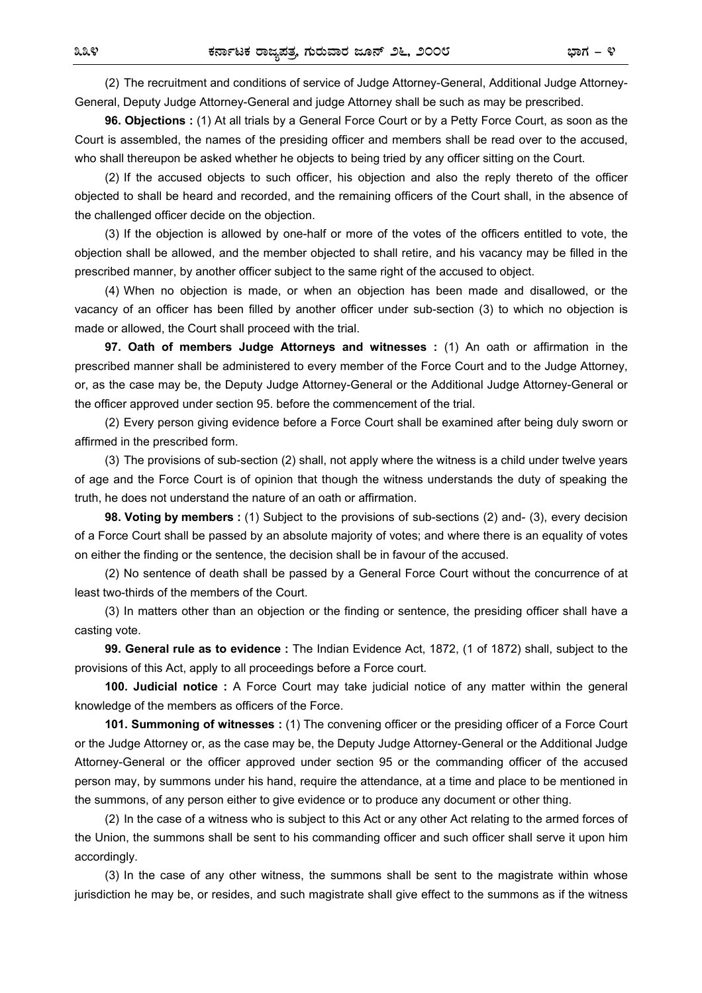(2) The recruitment and conditions of service of Judge Attorney-General, Additional Judge Attorney-General, Deputy Judge Attorney-General and judge Attorney shall be such as may be prescribed.

**96. Objections :** (1) At all trials by a General Force Court or by a Petty Force Court, as soon as the Court is assembled, the names of the presiding officer and members shall be read over to the accused, who shall thereupon be asked whether he objects to being tried by any officer sitting on the Court.

(2) If the accused objects to such officer, his objection and also the reply thereto of the officer objected to shall be heard and recorded, and the remaining officers of the Court shall, in the absence of the challenged officer decide on the objection.

(3) If the objection is allowed by one-half or more of the votes of the officers entitled to vote, the objection shall be allowed, and the member objected to shall retire, and his vacancy may be filled in the prescribed manner, by another officer subject to the same right of the accused to object.

(4) When no objection is made, or when an objection has been made and disallowed, or the vacancy of an officer has been filled by another officer under sub-section (3) to which no objection is made or allowed, the Court shall proceed with the trial.

**97. Oath of members Judge Attorneys and witnesses :** (1) An oath or affirmation in the prescribed manner shall be administered to every member of the Force Court and to the Judge Attorney, or, as the case may be, the Deputy Judge Attorney-General or the Additional Judge Attorney-General or the officer approved under section 95. before the commencement of the trial.

(2) Every person giving evidence before a Force Court shall be examined after being duly sworn or affirmed in the prescribed form.

(3) The provisions of sub-section (2) shall, not apply where the witness is a child under twelve years of age and the Force Court is of opinion that though the witness understands the duty of speaking the truth, he does not understand the nature of an oath or affirmation.

**98. Voting by members :** (1) Subject to the provisions of sub-sections (2) and- (3), every decision of a Force Court shall be passed by an absolute majority of votes; and where there is an equality of votes on either the finding or the sentence, the decision shall be in favour of the accused.

(2) No sentence of death shall be passed by a General Force Court without the concurrence of at least two-thirds of the members of the Court.

(3) In matters other than an objection or the finding or sentence, the presiding officer shall have a casting vote.

**99. General rule as to evidence :** The Indian Evidence Act, 1872, (1 of 1872) shall, subject to the provisions of this Act, apply to all proceedings before a Force court.

**100. Judicial notice :** A Force Court may take judicial notice of any matter within the general knowledge of the members as officers of the Force.

**101. Summoning of witnesses :** (1) The convening officer or the presiding officer of a Force Court or the Judge Attorney or, as the case may be, the Deputy Judge Attorney-General or the Additional Judge Attorney-General or the officer approved under section 95 or the commanding officer of the accused person may, by summons under his hand, require the attendance, at a time and place to be mentioned in the summons, of any person either to give evidence or to produce any document or other thing.

(2) In the case of a witness who is subject to this Act or any other Act relating to the armed forces of the Union, the summons shall be sent to his commanding officer and such officer shall serve it upon him accordingly.

(3) In the case of any other witness, the summons shall be sent to the magistrate within whose jurisdiction he may be, or resides, and such magistrate shall give effect to the summons as if the witness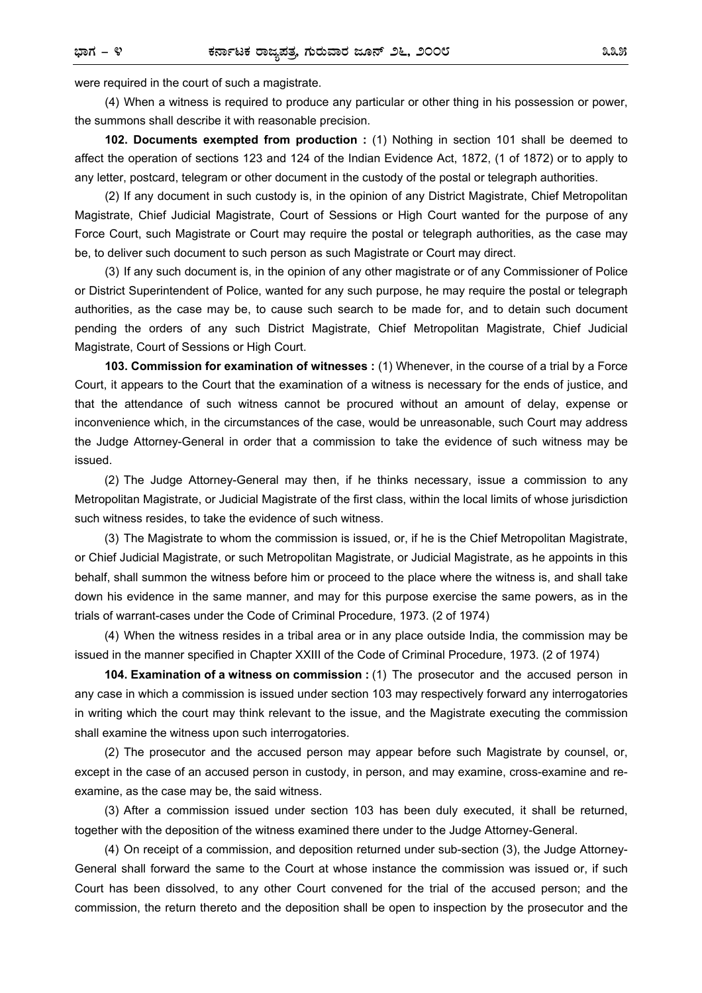were required in the court of such a magistrate.

(4) When a witness is required to produce any particular or other thing in his possession or power, the summons shall describe it with reasonable precision.

**102. Documents exempted from production :** (1) Nothing in section 101 shall be deemed to affect the operation of sections 123 and 124 of the Indian Evidence Act, 1872, (1 of 1872) or to apply to any letter, postcard, telegram or other document in the custody of the postal or telegraph authorities.

(2) If any document in such custody is, in the opinion of any District Magistrate, Chief Metropolitan Magistrate, Chief Judicial Magistrate, Court of Sessions or High Court wanted for the purpose of any Force Court, such Magistrate or Court may require the postal or telegraph authorities, as the case may be, to deliver such document to such person as such Magistrate or Court may direct.

(3) If any such document is, in the opinion of any other magistrate or of any Commissioner of Police or District Superintendent of Police, wanted for any such purpose, he may require the postal or telegraph authorities, as the case may be, to cause such search to be made for, and to detain such document pending the orders of any such District Magistrate, Chief Metropolitan Magistrate, Chief Judicial Magistrate, Court of Sessions or High Court.

**103. Commission for examination of witnesses :** (1) Whenever, in the course of a trial by a Force Court, it appears to the Court that the examination of a witness is necessary for the ends of justice, and that the attendance of such witness cannot be procured without an amount of delay, expense or inconvenience which, in the circumstances of the case, would be unreasonable, such Court may address the Judge Attorney-General in order that a commission to take the evidence of such witness may be issued.

(2) The Judge Attorney-General may then, if he thinks necessary, issue a commission to any Metropolitan Magistrate, or Judicial Magistrate of the first class, within the local limits of whose jurisdiction such witness resides, to take the evidence of such witness.

(3) The Magistrate to whom the commission is issued, or, if he is the Chief Metropolitan Magistrate, or Chief Judicial Magistrate, or such Metropolitan Magistrate, or Judicial Magistrate, as he appoints in this behalf, shall summon the witness before him or proceed to the place where the witness is, and shall take down his evidence in the same manner, and may for this purpose exercise the same powers, as in the trials of warrant-cases under the Code of Criminal Procedure, 1973. (2 of 1974)

(4) When the witness resides in a tribal area or in any place outside India, the commission may be issued in the manner specified in Chapter XXIII of the Code of Criminal Procedure, 1973. (2 of 1974)

**104. Examination of a witness on commission :** (1) The prosecutor and the accused person in any case in which a commission is issued under section 103 may respectively forward any interrogatories in writing which the court may think relevant to the issue, and the Magistrate executing the commission shall examine the witness upon such interrogatories.

(2) The prosecutor and the accused person may appear before such Magistrate by counsel, or, except in the case of an accused person in custody, in person, and may examine, cross-examine and reexamine, as the case may be, the said witness.

(3) After a commission issued under section 103 has been duly executed, it shall be returned, together with the deposition of the witness examined there under to the Judge Attorney-General.

(4) On receipt of a commission, and deposition returned under sub-section (3), the Judge Attorney-General shall forward the same to the Court at whose instance the commission was issued or, if such Court has been dissolved, to any other Court convened for the trial of the accused person; and the commission, the return thereto and the deposition shall be open to inspection by the prosecutor and the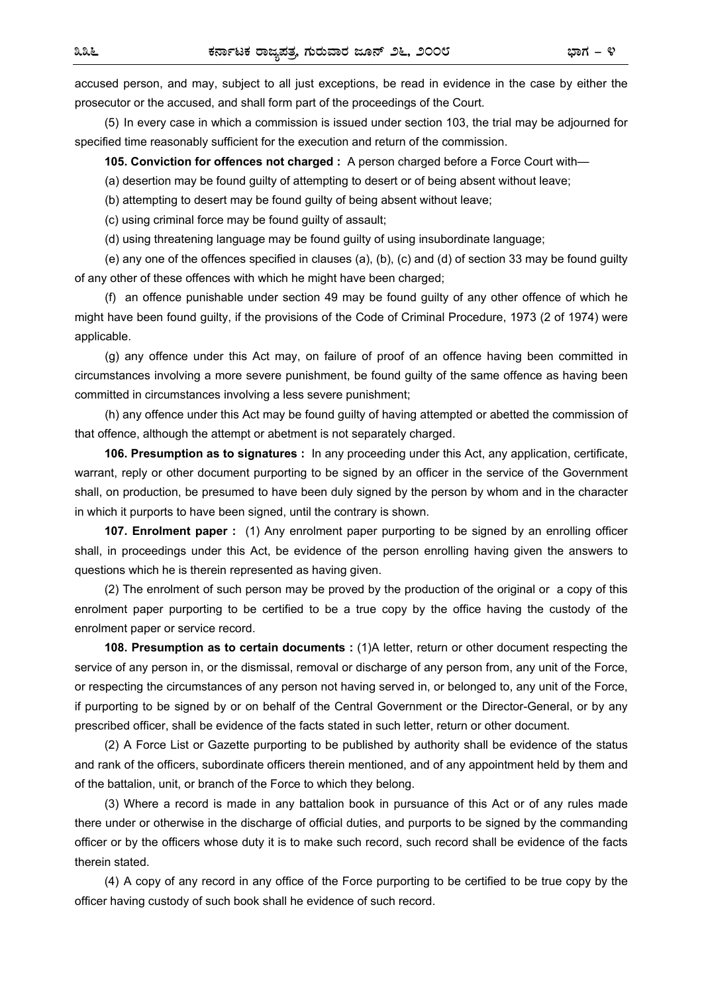accused person, and may, subject to all just exceptions, be read in evidence in the case by either the prosecutor or the accused, and shall form part of the proceedings of the Court.

(5) In every case in which a commission is issued under section 103, the trial may be adjourned for specified time reasonably sufficient for the execution and return of the commission.

**105. Conviction for offences not charged :** A person charged before a Force Court with—

(a) desertion may be found guilty of attempting to desert or of being absent without leave;

(b) attempting to desert may be found guilty of being absent without leave;

(c) using criminal force may be found guilty of assault;

(d) using threatening language may be found guilty of using insubordinate language;

 (e) any one of the offences specified in clauses (a), (b), (c) and (d) of section 33 may be found guilty of any other of these offences with which he might have been charged;

 (f) an offence punishable under section 49 may be found guilty of any other offence of which he might have been found guilty, if the provisions of the Code of Criminal Procedure, 1973 (2 of 1974) were applicable.

 (g) any offence under this Act may, on failure of proof of an offence having been committed in circumstances involving a more severe punishment, be found guilty of the same offence as having been committed in circumstances involving a less severe punishment;

 (h) any offence under this Act may be found guilty of having attempted or abetted the commission of that offence, although the attempt or abetment is not separately charged.

**106. Presumption as to signatures :** In any proceeding under this Act, any application, certificate, warrant, reply or other document purporting to be signed by an officer in the service of the Government shall, on production, be presumed to have been duly signed by the person by whom and in the character in which it purports to have been signed, until the contrary is shown.

**107. Enrolment paper :** (1) Any enrolment paper purporting to be signed by an enrolling officer shall, in proceedings under this Act, be evidence of the person enrolling having given the answers to questions which he is therein represented as having given.

(2) The enrolment of such person may be proved by the production of the original or a copy of this enrolment paper purporting to be certified to be a true copy by the office having the custody of the enrolment paper or service record.

**108. Presumption as to certain documents :** (1)A letter, return or other document respecting the service of any person in, or the dismissal, removal or discharge of any person from, any unit of the Force, or respecting the circumstances of any person not having served in, or belonged to, any unit of the Force, if purporting to be signed by or on behalf of the Central Government or the Director-General, or by any prescribed officer, shall be evidence of the facts stated in such letter, return or other document.

(2) A Force List or Gazette purporting to be published by authority shall be evidence of the status and rank of the officers, subordinate officers therein mentioned, and of any appointment held by them and of the battalion, unit, or branch of the Force to which they belong.

(3) Where a record is made in any battalion book in pursuance of this Act or of any rules made there under or otherwise in the discharge of official duties, and purports to be signed by the commanding officer or by the officers whose duty it is to make such record, such record shall be evidence of the facts therein stated.

(4) A copy of any record in any office of the Force purporting to be certified to be true copy by the officer having custody of such book shall he evidence of such record.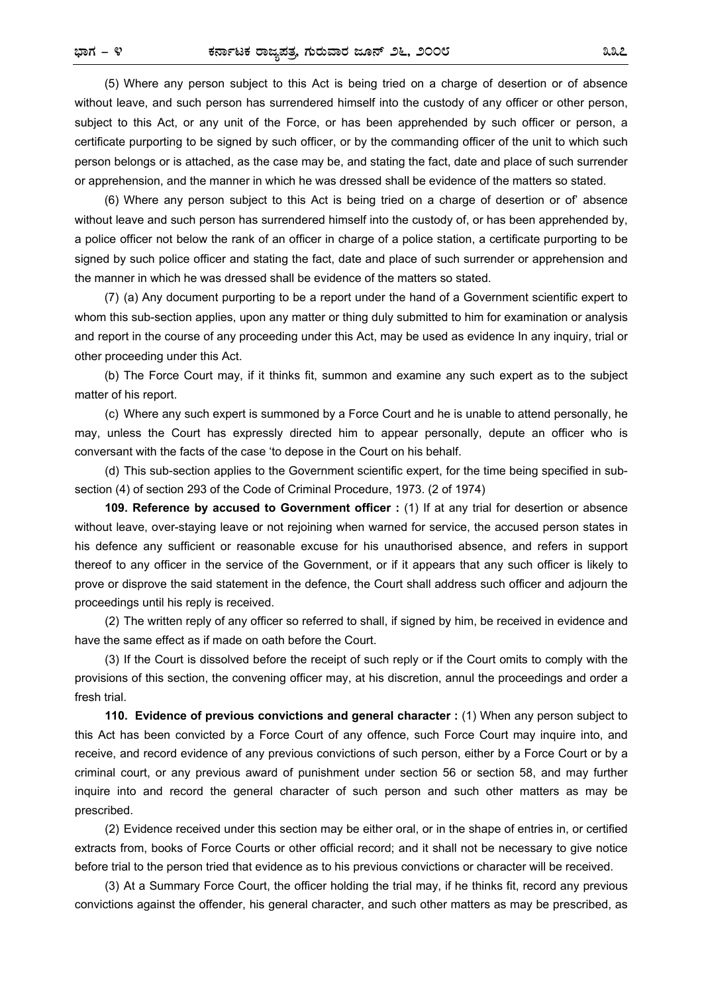(5) Where any person subject to this Act is being tried on a charge of desertion or of absence without leave, and such person has surrendered himself into the custody of any officer or other person, subject to this Act, or any unit of the Force, or has been apprehended by such officer or person, a certificate purporting to be signed by such officer, or by the commanding officer of the unit to which such person belongs or is attached, as the case may be, and stating the fact, date and place of such surrender or apprehension, and the manner in which he was dressed shall be evidence of the matters so stated.

(6) Where any person subject to this Act is being tried on a charge of desertion or of' absence without leave and such person has surrendered himself into the custody of, or has been apprehended by, a police officer not below the rank of an officer in charge of a police station, a certificate purporting to be signed by such police officer and stating the fact, date and place of such surrender or apprehension and the manner in which he was dressed shall be evidence of the matters so stated.

(7) (a) Any document purporting to be a report under the hand of a Government scientific expert to whom this sub-section applies, upon any matter or thing duly submitted to him for examination or analysis and report in the course of any proceeding under this Act, may be used as evidence In any inquiry, trial or other proceeding under this Act.

(b) The Force Court may, if it thinks fit, summon and examine any such expert as to the subject matter of his report.

(c) Where any such expert is summoned by a Force Court and he is unable to attend personally, he may, unless the Court has expressly directed him to appear personally, depute an officer who is conversant with the facts of the case 'to depose in the Court on his behalf.

(d) This sub-section applies to the Government scientific expert, for the time being specified in subsection (4) of section 293 of the Code of Criminal Procedure, 1973. (2 of 1974)

**109. Reference by accused to Government officer :** (1) If at any trial for desertion or absence without leave, over-staying leave or not rejoining when warned for service, the accused person states in his defence any sufficient or reasonable excuse for his unauthorised absence, and refers in support thereof to any officer in the service of the Government, or if it appears that any such officer is likely to prove or disprove the said statement in the defence, the Court shall address such officer and adjourn the proceedings until his reply is received.

(2) The written reply of any officer so referred to shall, if signed by him, be received in evidence and have the same effect as if made on oath before the Court.

(3) If the Court is dissolved before the receipt of such reply or if the Court omits to comply with the provisions of this section, the convening officer may, at his discretion, annul the proceedings and order a fresh trial.

**110. Evidence of previous convictions and general character :** (1) When any person subject to this Act has been convicted by a Force Court of any offence, such Force Court may inquire into, and receive, and record evidence of any previous convictions of such person, either by a Force Court or by a criminal court, or any previous award of punishment under section 56 or section 58, and may further inquire into and record the general character of such person and such other matters as may be prescribed.

(2) Evidence received under this section may be either oral, or in the shape of entries in, or certified extracts from, books of Force Courts or other official record; and it shall not be necessary to give notice before trial to the person tried that evidence as to his previous convictions or character will be received.

(3) At a Summary Force Court, the officer holding the trial may, if he thinks fit, record any previous convictions against the offender, his general character, and such other matters as may be prescribed, as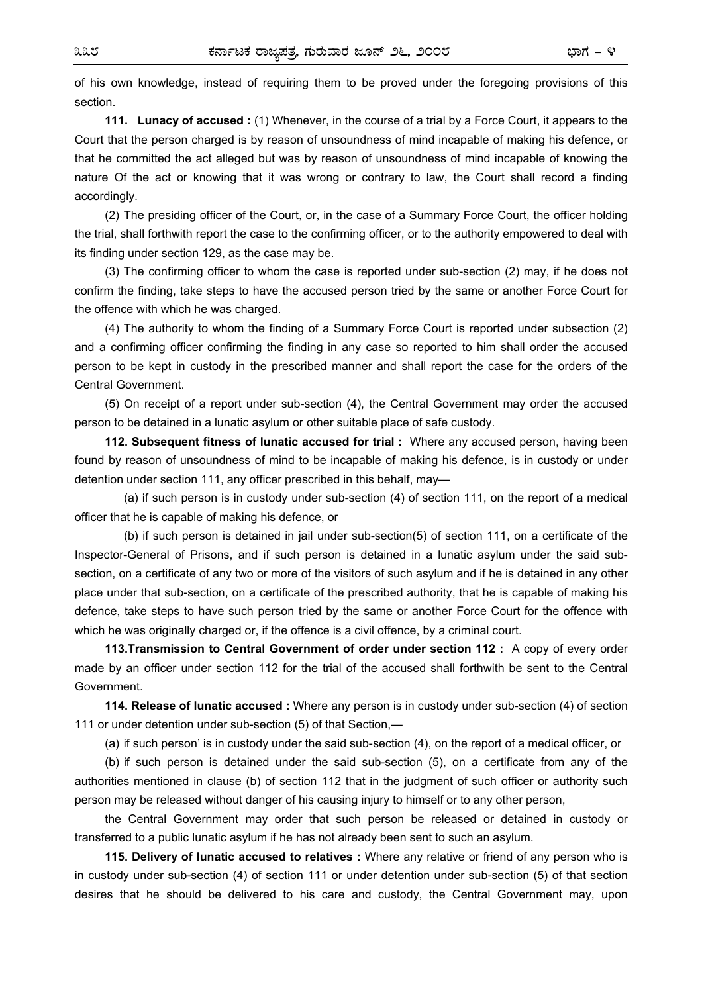of his own knowledge, instead of requiring them to be proved under the foregoing provisions of this section.

**111. Lunacy of accused :** (1) Whenever, in the course of a trial by a Force Court, it appears to the Court that the person charged is by reason of unsoundness of mind incapable of making his defence, or that he committed the act alleged but was by reason of unsoundness of mind incapable of knowing the nature Of the act or knowing that it was wrong or contrary to law, the Court shall record a finding accordingly.

(2) The presiding officer of the Court, or, in the case of a Summary Force Court, the officer holding the trial, shall forthwith report the case to the confirming officer, or to the authority empowered to deal with its finding under section 129, as the case may be.

(3) The confirming officer to whom the case is reported under sub-section (2) may, if he does not confirm the finding, take steps to have the accused person tried by the same or another Force Court for the offence with which he was charged.

(4) The authority to whom the finding of a Summary Force Court is reported under subsection (2) and a confirming officer confirming the finding in any case so reported to him shall order the accused person to be kept in custody in the prescribed manner and shall report the case for the orders of the Central Government.

(5) On receipt of a report under sub-section (4), the Central Government may order the accused person to be detained in a lunatic asylum or other suitable place of safe custody.

**112. Subsequent fitness of lunatic accused for trial :** Where any accused person, having been found by reason of unsoundness of mind to be incapable of making his defence, is in custody or under detention under section 111, any officer prescribed in this behalf, may—

 (a) if such person is in custody under sub-section (4) of section 111, on the report of a medical officer that he is capable of making his defence, or

 (b) if such person is detained in jail under sub-section(5) of section 111, on a certificate of the Inspector-General of Prisons, and if such person is detained in a lunatic asylum under the said subsection, on a certificate of any two or more of the visitors of such asylum and if he is detained in any other place under that sub-section, on a certificate of the prescribed authority, that he is capable of making his defence, take steps to have such person tried by the same or another Force Court for the offence with which he was originally charged or, if the offence is a civil offence, by a criminal court.

**113.Transmission to Central Government of order under section 112 :** A copy of every order made by an officer under section 112 for the trial of the accused shall forthwith be sent to the Central Government.

**114. Release of lunatic accused :** Where any person is in custody under sub-section (4) of section 111 or under detention under sub-section (5) of that Section,—

(a) if such person' is in custody under the said sub-section (4), on the report of a medical officer, or

(b) if such person is detained under the said sub-section (5), on a certificate from any of the authorities mentioned in clause (b) of section 112 that in the judgment of such officer or authority such person may be released without danger of his causing injury to himself or to any other person,

the Central Government may order that such person be released or detained in custody or transferred to a public lunatic asylum if he has not already been sent to such an asylum.

**115. Delivery of lunatic accused to relatives :** Where any relative or friend of any person who is in custody under sub-section (4) of section 111 or under detention under sub-section (5) of that section desires that he should be delivered to his care and custody, the Central Government may, upon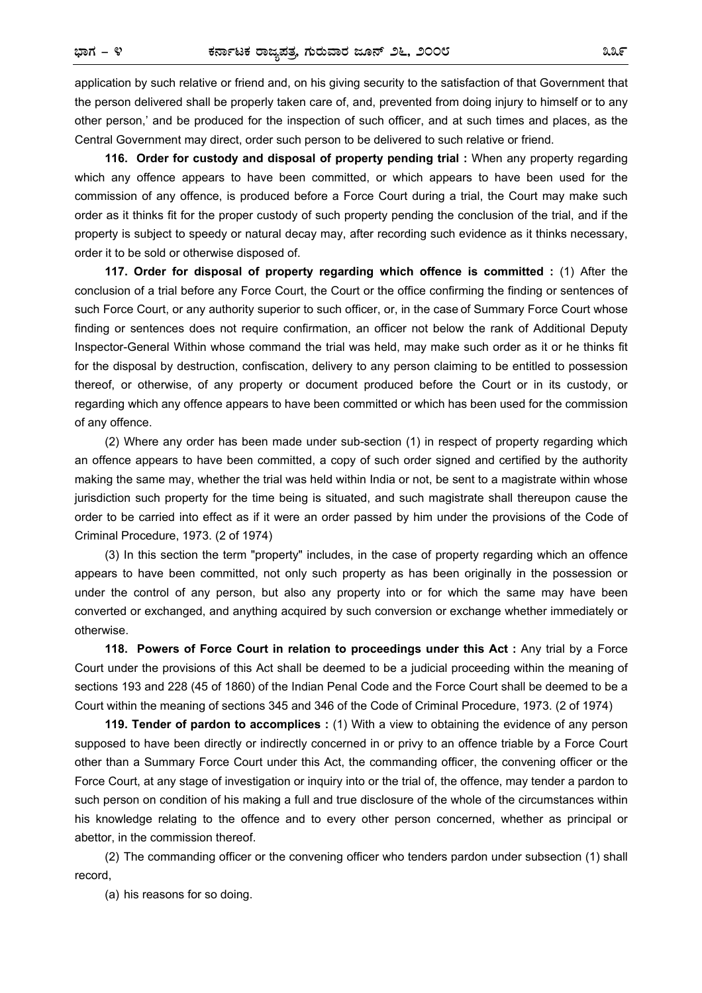application by such relative or friend and, on his giving security to the satisfaction of that Government that the person delivered shall be properly taken care of, and, prevented from doing injury to himself or to any other person,' and be produced for the inspection of such officer, and at such times and places, as the Central Government may direct, order such person to be delivered to such relative or friend.

**116. Order for custody and disposal of property pending trial :** When any property regarding which any offence appears to have been committed, or which appears to have been used for the commission of any offence, is produced before a Force Court during a trial, the Court may make such order as it thinks fit for the proper custody of such property pending the conclusion of the trial, and if the property is subject to speedy or natural decay may, after recording such evidence as it thinks necessary, order it to be sold or otherwise disposed of.

**117. Order for disposal of property regarding which offence is committed :** (1) After the conclusion of a trial before any Force Court, the Court or the office confirming the finding or sentences of such Force Court, or any authority superior to such officer, or, in the case of Summary Force Court whose finding or sentences does not require confirmation, an officer not below the rank of Additional Deputy Inspector-General Within whose command the trial was held, may make such order as it or he thinks fit for the disposal by destruction, confiscation, delivery to any person claiming to be entitled to possession thereof, or otherwise, of any property or document produced before the Court or in its custody, or regarding which any offence appears to have been committed or which has been used for the commission of any offence.

(2) Where any order has been made under sub-section (1) in respect of property regarding which an offence appears to have been committed, a copy of such order signed and certified by the authority making the same may, whether the trial was held within India or not, be sent to a magistrate within whose jurisdiction such property for the time being is situated, and such magistrate shall thereupon cause the order to be carried into effect as if it were an order passed by him under the provisions of the Code of Criminal Procedure, 1973. (2 of 1974)

(3) In this section the term "property" includes, in the case of property regarding which an offence appears to have been committed, not only such property as has been originally in the possession or under the control of any person, but also any property into or for which the same may have been converted or exchanged, and anything acquired by such conversion or exchange whether immediately or otherwise.

**118. Powers of Force Court in relation to proceedings under this Act :** Any trial by a Force Court under the provisions of this Act shall be deemed to be a judicial proceeding within the meaning of sections 193 and 228 (45 of 1860) of the Indian Penal Code and the Force Court shall be deemed to be a Court within the meaning of sections 345 and 346 of the Code of Criminal Procedure, 1973. (2 of 1974)

**119. Tender of pardon to accomplices :** (1) With a view to obtaining the evidence of any person supposed to have been directly or indirectly concerned in or privy to an offence triable by a Force Court other than a Summary Force Court under this Act, the commanding officer, the convening officer or the Force Court, at any stage of investigation or inquiry into or the trial of, the offence, may tender a pardon to such person on condition of his making a full and true disclosure of the whole of the circumstances within his knowledge relating to the offence and to every other person concerned, whether as principal or abettor, in the commission thereof.

(2) The commanding officer or the convening officer who tenders pardon under subsection (1) shall record,

(a) his reasons for so doing.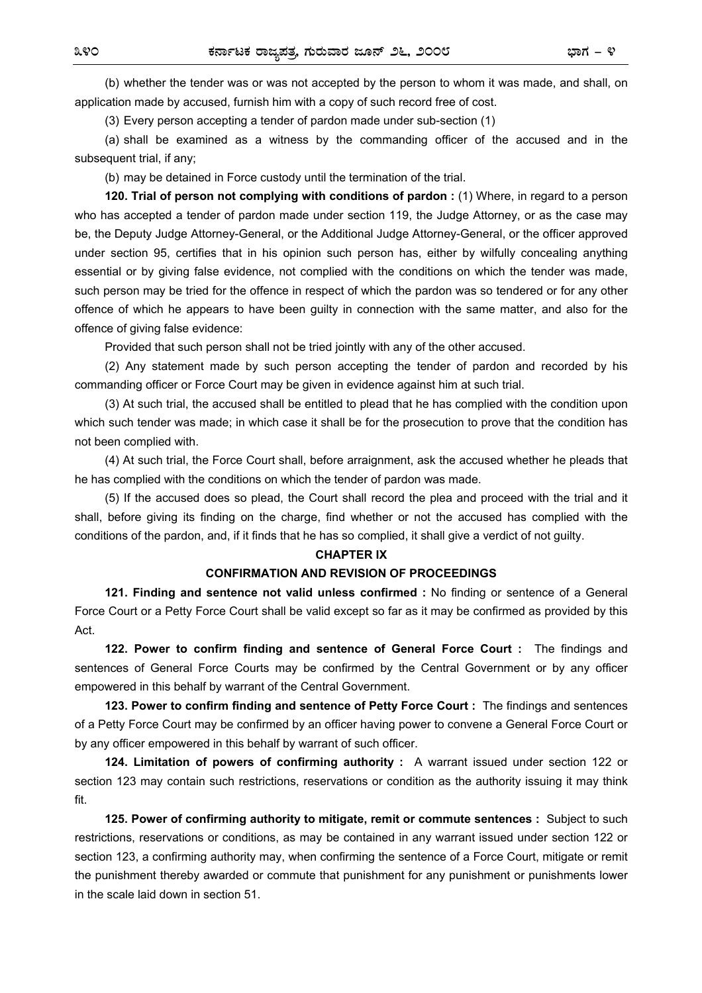(b) whether the tender was or was not accepted by the person to whom it was made, and shall, on application made by accused, furnish him with a copy of such record free of cost.

(3) Every person accepting a tender of pardon made under sub-section (1)

(a) shall be examined as a witness by the commanding officer of the accused and in the subsequent trial, if any;

(b) may be detained in Force custody until the termination of the trial.

**120. Trial of person not complying with conditions of pardon :** (1) Where, in regard to a person who has accepted a tender of pardon made under section 119, the Judge Attorney, or as the case may be, the Deputy Judge Attorney-General, or the Additional Judge Attorney-General, or the officer approved under section 95, certifies that in his opinion such person has, either by wilfully concealing anything essential or by giving false evidence, not complied with the conditions on which the tender was made, such person may be tried for the offence in respect of which the pardon was so tendered or for any other offence of which he appears to have been guilty in connection with the same matter, and also for the offence of giving false evidence:

Provided that such person shall not be tried jointly with any of the other accused.

(2) Any statement made by such person accepting the tender of pardon and recorded by his commanding officer or Force Court may be given in evidence against him at such trial.

(3) At such trial, the accused shall be entitled to plead that he has complied with the condition upon which such tender was made; in which case it shall be for the prosecution to prove that the condition has not been complied with.

(4) At such trial, the Force Court shall, before arraignment, ask the accused whether he pleads that he has complied with the conditions on which the tender of pardon was made.

(5) If the accused does so plead, the Court shall record the plea and proceed with the trial and it shall, before giving its finding on the charge, find whether or not the accused has complied with the conditions of the pardon, and, if it finds that he has so complied, it shall give a verdict of not guilty.

#### **CHAPTER IX**

#### **CONFIRMATION AND REVISION OF PROCEEDINGS**

**121. Finding and sentence not valid unless confirmed :** No finding or sentence of a General Force Court or a Petty Force Court shall be valid except so far as it may be confirmed as provided by this Act.

**122. Power to confirm finding and sentence of General Force Court :** The findings and sentences of General Force Courts may be confirmed by the Central Government or by any officer empowered in this behalf by warrant of the Central Government.

**123. Power to confirm finding and sentence of Petty Force Court :** The findings and sentences of a Petty Force Court may be confirmed by an officer having power to convene a General Force Court or by any officer empowered in this behalf by warrant of such officer.

**124. Limitation of powers of confirming authority :** A warrant issued under section 122 or section 123 may contain such restrictions, reservations or condition as the authority issuing it may think fit.

**125. Power of confirming authority to mitigate, remit or commute sentences :** Subject to such restrictions, reservations or conditions, as may be contained in any warrant issued under section 122 or section 123, a confirming authority may, when confirming the sentence of a Force Court, mitigate or remit the punishment thereby awarded or commute that punishment for any punishment or punishments lower in the scale laid down in section 51.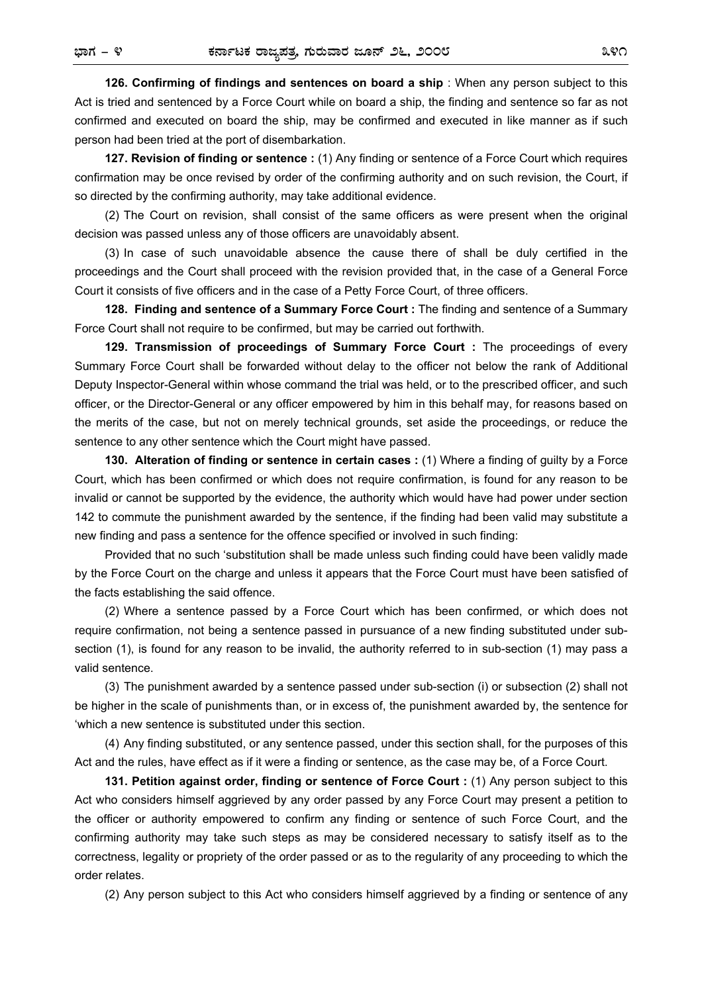**126. Confirming of findings and sentences on board a ship** : When any person subject to this Act is tried and sentenced by a Force Court while on board a ship, the finding and sentence so far as not confirmed and executed on board the ship, may be confirmed and executed in like manner as if such person had been tried at the port of disembarkation.

**127. Revision of finding or sentence :** (1) Any finding or sentence of a Force Court which requires confirmation may be once revised by order of the confirming authority and on such revision, the Court, if so directed by the confirming authority, may take additional evidence.

(2) The Court on revision, shall consist of the same officers as were present when the original decision was passed unless any of those officers are unavoidably absent.

(3) In case of such unavoidable absence the cause there of shall be duly certified in the proceedings and the Court shall proceed with the revision provided that, in the case of a General Force Court it consists of five officers and in the case of a Petty Force Court, of three officers.

**128. Finding and sentence of a Summary Force Court :** The finding and sentence of a Summary Force Court shall not require to be confirmed, but may be carried out forthwith.

**129. Transmission of proceedings of Summary Force Court :** The proceedings of every Summary Force Court shall be forwarded without delay to the officer not below the rank of Additional Deputy Inspector-General within whose command the trial was held, or to the prescribed officer, and such officer, or the Director-General or any officer empowered by him in this behalf may, for reasons based on the merits of the case, but not on merely technical grounds, set aside the proceedings, or reduce the sentence to any other sentence which the Court might have passed.

**130. Alteration of finding or sentence in certain cases :** (1) Where a finding of guilty by a Force Court, which has been confirmed or which does not require confirmation, is found for any reason to be invalid or cannot be supported by the evidence, the authority which would have had power under section 142 to commute the punishment awarded by the sentence, if the finding had been valid may substitute a new finding and pass a sentence for the offence specified or involved in such finding:

Provided that no such 'substitution shall be made unless such finding could have been validly made by the Force Court on the charge and unless it appears that the Force Court must have been satisfied of the facts establishing the said offence.

(2) Where a sentence passed by a Force Court which has been confirmed, or which does not require confirmation, not being a sentence passed in pursuance of a new finding substituted under subsection (1), is found for any reason to be invalid, the authority referred to in sub-section (1) may pass a valid sentence.

(3) The punishment awarded by a sentence passed under sub-section (i) or subsection (2) shall not be higher in the scale of punishments than, or in excess of, the punishment awarded by, the sentence for 'which a new sentence is substituted under this section.

(4) Any finding substituted, or any sentence passed, under this section shall, for the purposes of this Act and the rules, have effect as if it were a finding or sentence, as the case may be, of a Force Court.

**131. Petition against order, finding or sentence of Force Court :** (1) Any person subject to this Act who considers himself aggrieved by any order passed by any Force Court may present a petition to the officer or authority empowered to confirm any finding or sentence of such Force Court, and the confirming authority may take such steps as may be considered necessary to satisfy itself as to the correctness, legality or propriety of the order passed or as to the regularity of any proceeding to which the order relates.

(2) Any person subject to this Act who considers himself aggrieved by a finding or sentence of any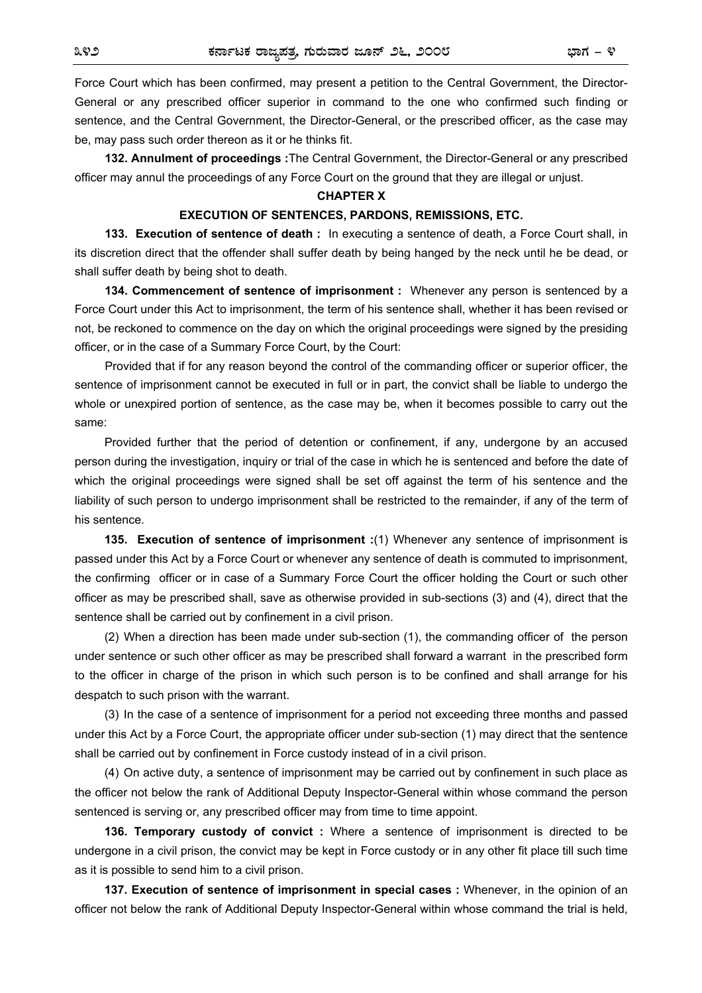Force Court which has been confirmed, may present a petition to the Central Government, the Director-General or any prescribed officer superior in command to the one who confirmed such finding or sentence, and the Central Government, the Director-General, or the prescribed officer, as the case may be, may pass such order thereon as it or he thinks fit.

**132. Annulment of proceedings :**The Central Government, the Director-General or any prescribed officer may annul the proceedings of any Force Court on the ground that they are illegal or unjust.

#### **CHAPTER X**

#### **EXECUTION OF SENTENCES, PARDONS, REMISSIONS, ETC.**

**133. Execution of sentence of death :** In executing a sentence of death, a Force Court shall, in its discretion direct that the offender shall suffer death by being hanged by the neck until he be dead, or shall suffer death by being shot to death.

**134. Commencement of sentence of imprisonment :** Whenever any person is sentenced by a Force Court under this Act to imprisonment, the term of his sentence shall, whether it has been revised or not, be reckoned to commence on the day on which the original proceedings were signed by the presiding officer, or in the case of a Summary Force Court, by the Court:

Provided that if for any reason beyond the control of the commanding officer or superior officer, the sentence of imprisonment cannot be executed in full or in part, the convict shall be liable to undergo the whole or unexpired portion of sentence, as the case may be, when it becomes possible to carry out the same:

Provided further that the period of detention or confinement, if any, undergone by an accused person during the investigation, inquiry or trial of the case in which he is sentenced and before the date of which the original proceedings were signed shall be set off against the term of his sentence and the liability of such person to undergo imprisonment shall be restricted to the remainder, if any of the term of his sentence.

**135. Execution of sentence of imprisonment :**(1) Whenever any sentence of imprisonment is passed under this Act by a Force Court or whenever any sentence of death is commuted to imprisonment, the confirming officer or in case of a Summary Force Court the officer holding the Court or such other officer as may be prescribed shall, save as otherwise provided in sub-sections (3) and (4), direct that the sentence shall be carried out by confinement in a civil prison.

(2) When a direction has been made under sub-section (1), the commanding officer of the person under sentence or such other officer as may be prescribed shall forward a warrant in the prescribed form to the officer in charge of the prison in which such person is to be confined and shall arrange for his despatch to such prison with the warrant.

(3) In the case of a sentence of imprisonment for a period not exceeding three months and passed under this Act by a Force Court, the appropriate officer under sub-section (1) may direct that the sentence shall be carried out by confinement in Force custody instead of in a civil prison.

(4) On active duty, a sentence of imprisonment may be carried out by confinement in such place as the officer not below the rank of Additional Deputy Inspector-General within whose command the person sentenced is serving or, any prescribed officer may from time to time appoint.

**136. Temporary custody of convict :** Where a sentence of imprisonment is directed to be undergone in a civil prison, the convict may be kept in Force custody or in any other fit place till such time as it is possible to send him to a civil prison.

**137. Execution of sentence of imprisonment in special cases :** Whenever, in the opinion of an officer not below the rank of Additional Deputy Inspector-General within whose command the trial is held,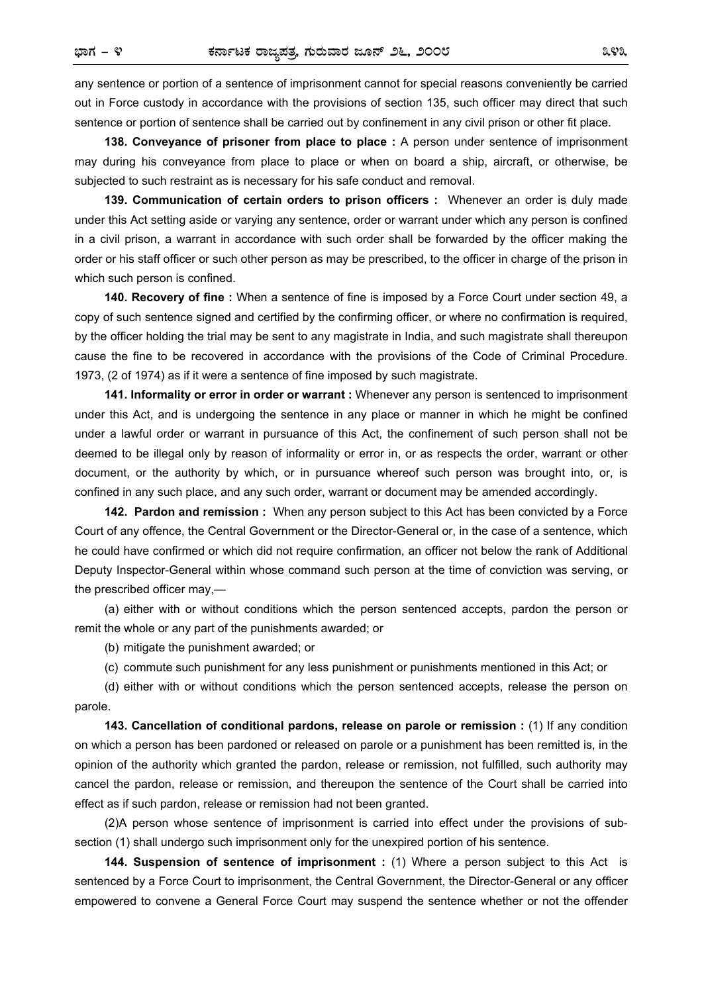any sentence or portion of a sentence of imprisonment cannot for special reasons conveniently be carried out in Force custody in accordance with the provisions of section 135, such officer may direct that such sentence or portion of sentence shall be carried out by confinement in any civil prison or other fit place.

**138. Conveyance of prisoner from place to place :** A person under sentence of imprisonment may during his conveyance from place to place or when on board a ship, aircraft, or otherwise, be subjected to such restraint as is necessary for his safe conduct and removal.

**139. Communication of certain orders to prison officers :** Whenever an order is duly made under this Act setting aside or varying any sentence, order or warrant under which any person is confined in a civil prison, a warrant in accordance with such order shall be forwarded by the officer making the order or his staff officer or such other person as may be prescribed, to the officer in charge of the prison in which such person is confined.

**140. Recovery of fine :** When a sentence of fine is imposed by a Force Court under section 49, a copy of such sentence signed and certified by the confirming officer, or where no confirmation is required, by the officer holding the trial may be sent to any magistrate in India, and such magistrate shall thereupon cause the fine to be recovered in accordance with the provisions of the Code of Criminal Procedure. 1973, (2 of 1974) as if it were a sentence of fine imposed by such magistrate.

**141. Informality or error in order or warrant :** Whenever any person is sentenced to imprisonment under this Act, and is undergoing the sentence in any place or manner in which he might be confined under a lawful order or warrant in pursuance of this Act, the confinement of such person shall not be deemed to be illegal only by reason of informality or error in, or as respects the order, warrant or other document, or the authority by which, or in pursuance whereof such person was brought into, or, is confined in any such place, and any such order, warrant or document may be amended accordingly.

**142. Pardon and remission :** When any person subject to this Act has been convicted by a Force Court of any offence, the Central Government or the Director-General or, in the case of a sentence, which he could have confirmed or which did not require confirmation, an officer not below the rank of Additional Deputy Inspector-General within whose command such person at the time of conviction was serving, or the prescribed officer may,—

(a) either with or without conditions which the person sentenced accepts, pardon the person or remit the whole or any part of the punishments awarded; or

(b) mitigate the punishment awarded; or

(c) commute such punishment for any less punishment or punishments mentioned in this Act; or

(d) either with or without conditions which the person sentenced accepts, release the person on parole.

**143. Cancellation of conditional pardons, release on parole or remission :** (1) If any condition on which a person has been pardoned or released on parole or a punishment has been remitted is, in the opinion of the authority which granted the pardon, release or remission, not fulfilled, such authority may cancel the pardon, release or remission, and thereupon the sentence of the Court shall be carried into effect as if such pardon, release or remission had not been granted.

(2)A person whose sentence of imprisonment is carried into effect under the provisions of subsection (1) shall undergo such imprisonment only for the unexpired portion of his sentence.

**144. Suspension of sentence of imprisonment** : (1) Where a person subject to this Act is sentenced by a Force Court to imprisonment, the Central Government, the Director-General or any officer empowered to convene a General Force Court may suspend the sentence whether or not the offender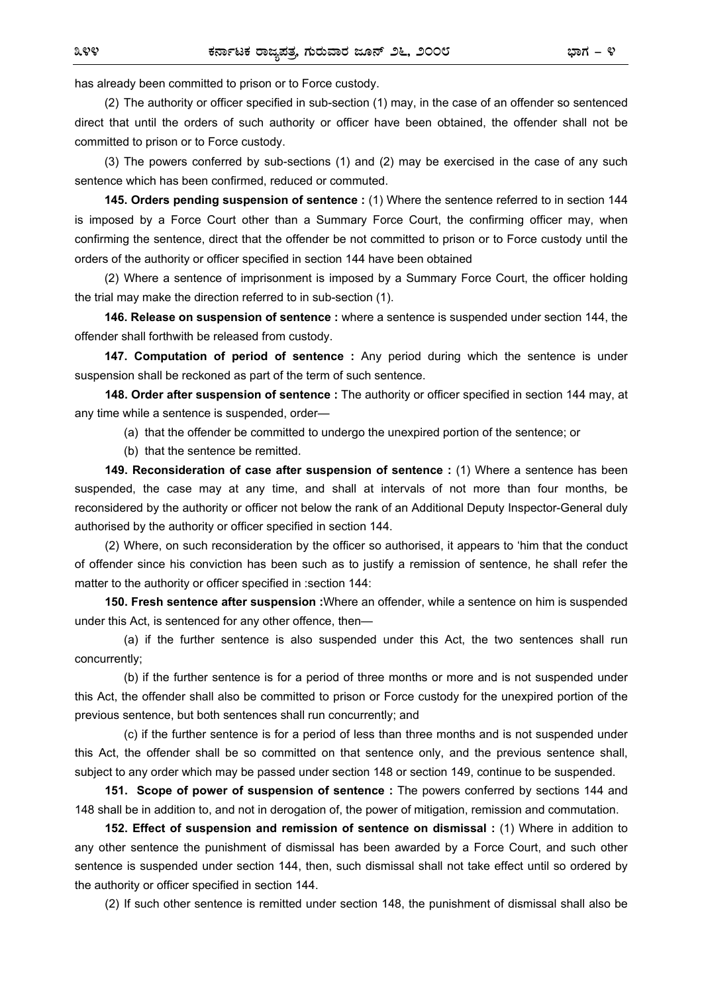has already been committed to prison or to Force custody.

(2) The authority or officer specified in sub-section (1) may, in the case of an offender so sentenced direct that until the orders of such authority or officer have been obtained, the offender shall not be committed to prison or to Force custody.

(3) The powers conferred by sub-sections (1) and (2) may be exercised in the case of any such sentence which has been confirmed, reduced or commuted.

**145. Orders pending suspension of sentence :** (1) Where the sentence referred to in section 144 is imposed by a Force Court other than a Summary Force Court, the confirming officer may, when confirming the sentence, direct that the offender be not committed to prison or to Force custody until the orders of the authority or officer specified in section 144 have been obtained

(2) Where a sentence of imprisonment is imposed by a Summary Force Court, the officer holding the trial may make the direction referred to in sub-section (1).

**146. Release on suspension of sentence :** where a sentence is suspended under section 144, the offender shall forthwith be released from custody.

**147. Computation of period of sentence :** Any period during which the sentence is under suspension shall be reckoned as part of the term of such sentence.

**148. Order after suspension of sentence :** The authority or officer specified in section 144 may, at any time while a sentence is suspended, order—

(a) that the offender be committed to undergo the unexpired portion of the sentence; or

(b) that the sentence be remitted.

**149. Reconsideration of case after suspension of sentence :** (1) Where a sentence has been suspended, the case may at any time, and shall at intervals of not more than four months, be reconsidered by the authority or officer not below the rank of an Additional Deputy Inspector-General duly authorised by the authority or officer specified in section 144.

(2) Where, on such reconsideration by the officer so authorised, it appears to 'him that the conduct of offender since his conviction has been such as to justify a remission of sentence, he shall refer the matter to the authority or officer specified in :section 144:

**150. Fresh sentence after suspension :**Where an offender, while a sentence on him is suspended under this Act, is sentenced for any other offence, then—

 (a) if the further sentence is also suspended under this Act, the two sentences shall run concurrently;

 (b) if the further sentence is for a period of three months or more and is not suspended under this Act, the offender shall also be committed to prison or Force custody for the unexpired portion of the previous sentence, but both sentences shall run concurrently; and

 (c) if the further sentence is for a period of less than three months and is not suspended under this Act, the offender shall be so committed on that sentence only, and the previous sentence shall, subject to any order which may be passed under section 148 or section 149, continue to be suspended.

**151. Scope of power of suspension of sentence :** The powers conferred by sections 144 and 148 shall be in addition to, and not in derogation of, the power of mitigation, remission and commutation.

**152. Effect of suspension and remission of sentence on dismissal :** (1) Where in addition to any other sentence the punishment of dismissal has been awarded by a Force Court, and such other sentence is suspended under section 144, then, such dismissal shall not take effect until so ordered by the authority or officer specified in section 144.

(2) If such other sentence is remitted under section 148, the punishment of dismissal shall also be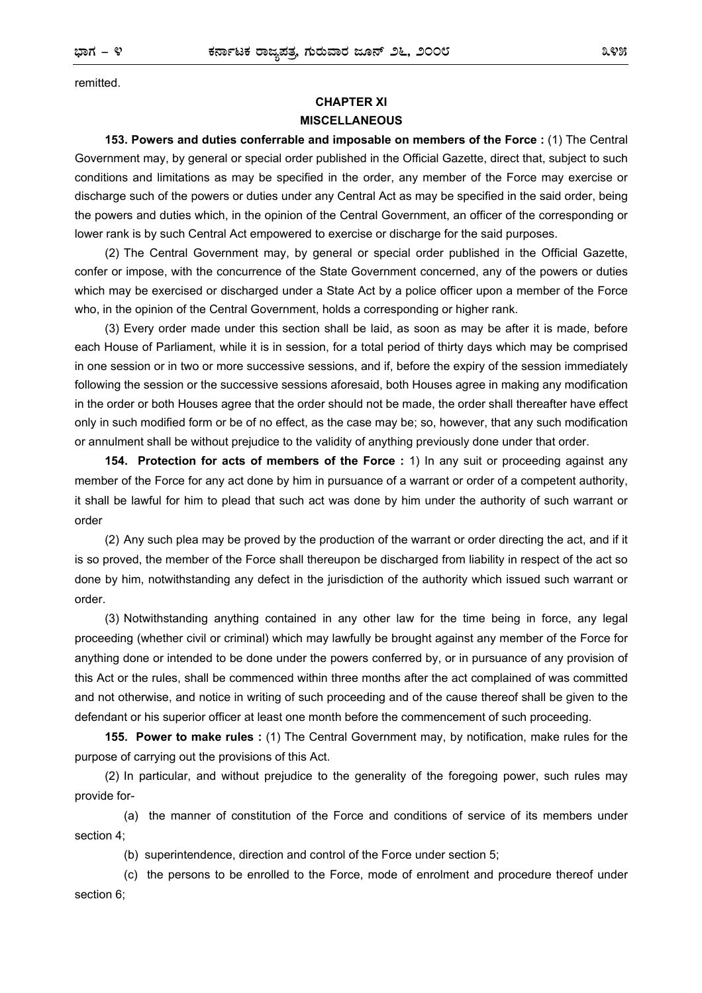remitted.

## **CHAPTER XI MISCELLANEOUS**

**153. Powers and duties conferrable and imposable on members of the Force :** (1) The Central Government may, by general or special order published in the Official Gazette, direct that, subject to such conditions and limitations as may be specified in the order, any member of the Force may exercise or discharge such of the powers or duties under any Central Act as may be specified in the said order, being the powers and duties which, in the opinion of the Central Government, an officer of the corresponding or lower rank is by such Central Act empowered to exercise or discharge for the said purposes.

(2) The Central Government may, by general or special order published in the Official Gazette, confer or impose, with the concurrence of the State Government concerned, any of the powers or duties which may be exercised or discharged under a State Act by a police officer upon a member of the Force who, in the opinion of the Central Government, holds a corresponding or higher rank.

(3) Every order made under this section shall be laid, as soon as may be after it is made, before each House of Parliament, while it is in session, for a total period of thirty days which may be comprised in one session or in two or more successive sessions, and if, before the expiry of the session immediately following the session or the successive sessions aforesaid, both Houses agree in making any modification in the order or both Houses agree that the order should not be made, the order shall thereafter have effect only in such modified form or be of no effect, as the case may be; so, however, that any such modification or annulment shall be without prejudice to the validity of anything previously done under that order.

**154. Protection for acts of members of the Force :** 1) In any suit or proceeding against any member of the Force for any act done by him in pursuance of a warrant or order of a competent authority, it shall be lawful for him to plead that such act was done by him under the authority of such warrant or order

(2) Any such plea may be proved by the production of the warrant or order directing the act, and if it is so proved, the member of the Force shall thereupon be discharged from liability in respect of the act so done by him, notwithstanding any defect in the jurisdiction of the authority which issued such warrant or order.

(3) Notwithstanding anything contained in any other law for the time being in force, any legal proceeding (whether civil or criminal) which may lawfully be brought against any member of the Force for anything done or intended to be done under the powers conferred by, or in pursuance of any provision of this Act or the rules, shall be commenced within three months after the act complained of was committed and not otherwise, and notice in writing of such proceeding and of the cause thereof shall be given to the defendant or his superior officer at least one month before the commencement of such proceeding.

**155. Power to make rules :** (1) The Central Government may, by notification, make rules for the purpose of carrying out the provisions of this Act.

(2) In particular, and without prejudice to the generality of the foregoing power, such rules may provide for-

 (a) the manner of constitution of the Force and conditions of service of its members under section 4;

(b) superintendence, direction and control of the Force under section 5;

 (c) the persons to be enrolled to the Force, mode of enrolment and procedure thereof under section 6;